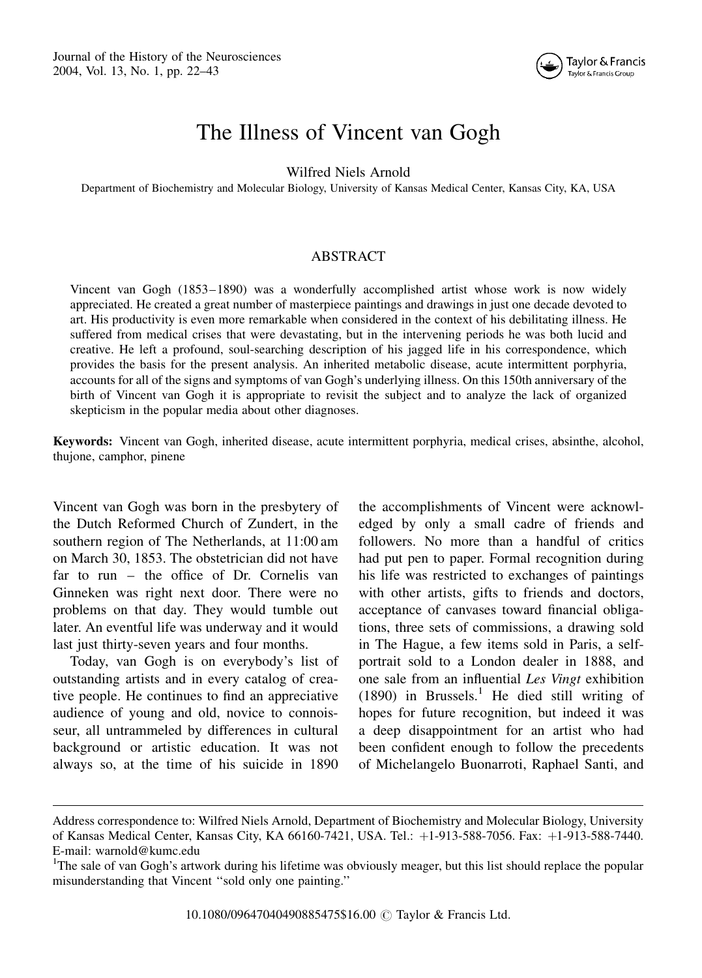

# The Illness of Vincent van Gogh

Wilfred Niels Arnold

Department of Biochemistry and Molecular Biology, University of Kansas Medical Center, Kansas City, KA, USA

#### ABSTRACT

Vincent van Gogh (1853–1890) was a wonderfully accomplished artist whose work is now widely appreciated. He created a great number of masterpiece paintings and drawings in just one decade devoted to art. His productivity is even more remarkable when considered in the context of his debilitating illness. He suffered from medical crises that were devastating, but in the intervening periods he was both lucid and creative. He left a profound, soul-searching description of his jagged life in his correspondence, which provides the basis for the present analysis. An inherited metabolic disease, acute intermittent porphyria, accounts for all of the signs and symptoms of van Gogh's underlying illness. On this 150th anniversary of the birth of Vincent van Gogh it is appropriate to revisit the subject and to analyze the lack of organized skepticism in the popular media about other diagnoses.

Keywords: Vincent van Gogh, inherited disease, acute intermittent porphyria, medical crises, absinthe, alcohol, thujone, camphor, pinene

Vincent van Gogh was born in the presbytery of the Dutch Reformed Church of Zundert, in the southern region of The Netherlands, at 11:00 am on March 30, 1853. The obstetrician did not have far to run – the office of Dr. Cornelis van Ginneken was right next door. There were no problems on that day. They would tumble out later. An eventful life was underway and it would last just thirty-seven years and four months.

Today, van Gogh is on everybody's list of outstanding artists and in every catalog of creative people. He continues to find an appreciative audience of young and old, novice to connoisseur, all untrammeled by differences in cultural background or artistic education. It was not always so, at the time of his suicide in 1890 the accomplishments of Vincent were acknowledged by only a small cadre of friends and followers. No more than a handful of critics had put pen to paper. Formal recognition during his life was restricted to exchanges of paintings with other artists, gifts to friends and doctors, acceptance of canvases toward financial obligations, three sets of commissions, a drawing sold in The Hague, a few items sold in Paris, a selfportrait sold to a London dealer in 1888, and one sale from an influential Les Vingt exhibition  $(1890)$  in Brussels.<sup>1</sup> He died still writing of hopes for future recognition, but indeed it was a deep disappointment for an artist who had been confident enough to follow the precedents of Michelangelo Buonarroti, Raphael Santi, and

Address correspondence to: Wilfred Niels Arnold, Department of Biochemistry and Molecular Biology, University of Kansas Medical Center, Kansas City, KA 66160-7421, USA. Tel.: þ1-913-588-7056. Fax: þ1-913-588-7440. E-mail: warnold@kumc.edu

<sup>&</sup>lt;sup>1</sup>The sale of van Gogh's artwork during his lifetime was obviously meager, but this list should replace the popular misunderstanding that Vincent ''sold only one painting.''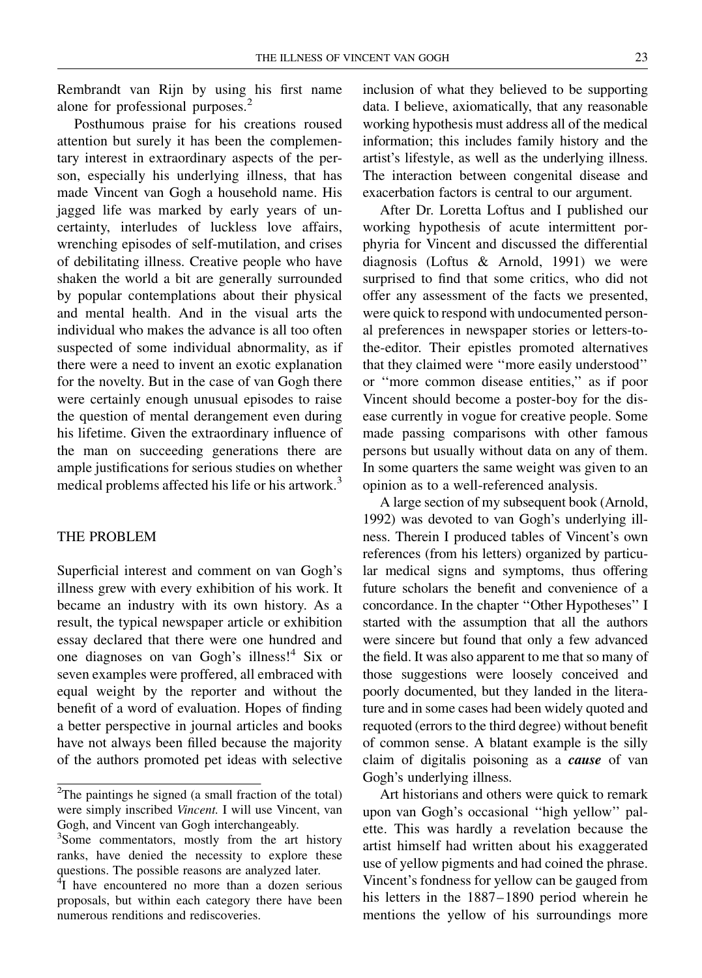Rembrandt van Rijn by using his first name alone for professional purposes.<sup>2</sup>

Posthumous praise for his creations roused attention but surely it has been the complementary interest in extraordinary aspects of the person, especially his underlying illness, that has made Vincent van Gogh a household name. His jagged life was marked by early years of uncertainty, interludes of luckless love affairs, wrenching episodes of self-mutilation, and crises of debilitating illness. Creative people who have shaken the world a bit are generally surrounded by popular contemplations about their physical and mental health. And in the visual arts the individual who makes the advance is all too often suspected of some individual abnormality, as if there were a need to invent an exotic explanation for the novelty. But in the case of van Gogh there were certainly enough unusual episodes to raise the question of mental derangement even during his lifetime. Given the extraordinary influence of the man on succeeding generations there are ample justifications for serious studies on whether medical problems affected his life or his artwork.<sup>3</sup>

#### THE PROBLEM

Superficial interest and comment on van Gogh's illness grew with every exhibition of his work. It became an industry with its own history. As a result, the typical newspaper article or exhibition essay declared that there were one hundred and one diagnoses on van Gogh's illness!<sup>4</sup> Six or seven examples were proffered, all embraced with equal weight by the reporter and without the benefit of a word of evaluation. Hopes of finding a better perspective in journal articles and books have not always been filled because the majority of the authors promoted pet ideas with selective

inclusion of what they believed to be supporting data. I believe, axiomatically, that any reasonable working hypothesis must address all of the medical information; this includes family history and the artist's lifestyle, as well as the underlying illness. The interaction between congenital disease and exacerbation factors is central to our argument.

After Dr. Loretta Loftus and I published our working hypothesis of acute intermittent porphyria for Vincent and discussed the differential diagnosis (Loftus & Arnold, 1991) we were surprised to find that some critics, who did not offer any assessment of the facts we presented, were quick to respond with undocumented personal preferences in newspaper stories or letters-tothe-editor. Their epistles promoted alternatives that they claimed were ''more easily understood'' or ''more common disease entities,'' as if poor Vincent should become a poster-boy for the disease currently in vogue for creative people. Some made passing comparisons with other famous persons but usually without data on any of them. In some quarters the same weight was given to an opinion as to a well-referenced analysis.

A large section of my subsequent book (Arnold, 1992) was devoted to van Gogh's underlying illness. Therein I produced tables of Vincent's own references (from his letters) organized by particular medical signs and symptoms, thus offering future scholars the benefit and convenience of a concordance. In the chapter ''Other Hypotheses'' I started with the assumption that all the authors were sincere but found that only a few advanced the field. It was also apparent to me that so many of those suggestions were loosely conceived and poorly documented, but they landed in the literature and in some cases had been widely quoted and requoted (errors to the third degree) without benefit of common sense. A blatant example is the silly claim of digitalis poisoning as a cause of van Gogh's underlying illness.

Art historians and others were quick to remark upon van Gogh's occasional ''high yellow'' palette. This was hardly a revelation because the artist himself had written about his exaggerated use of yellow pigments and had coined the phrase. Vincent's fondness for yellow can be gauged from his letters in the 1887–1890 period wherein he mentions the yellow of his surroundings more

<sup>&</sup>lt;sup>2</sup>The paintings he signed (a small fraction of the total) were simply inscribed Vincent. I will use Vincent, van Gogh, and Vincent van Gogh interchangeably.

<sup>3</sup> Some commentators, mostly from the art history ranks, have denied the necessity to explore these questions. The possible reasons are analyzed later.

<sup>&</sup>lt;sup>4</sup>I have encountered no more than a dozen serious proposals, but within each category there have been numerous renditions and rediscoveries.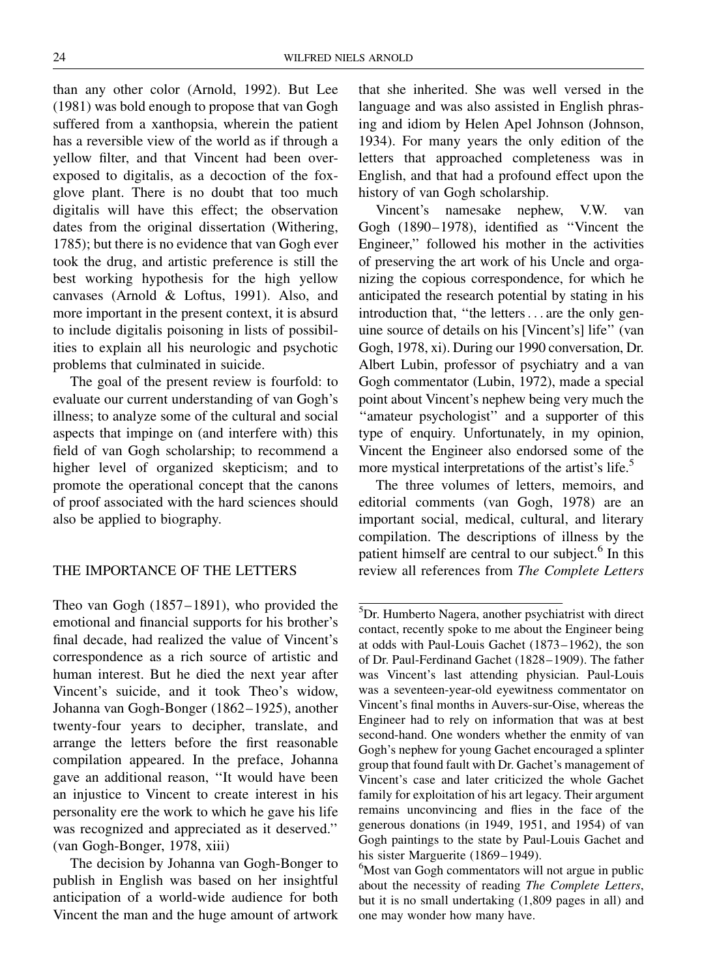than any other color (Arnold, 1992). But Lee (1981) was bold enough to propose that van Gogh suffered from a xanthopsia, wherein the patient has a reversible view of the world as if through a yellow filter, and that Vincent had been overexposed to digitalis, as a decoction of the foxglove plant. There is no doubt that too much digitalis will have this effect; the observation dates from the original dissertation (Withering, 1785); but there is no evidence that van Gogh ever took the drug, and artistic preference is still the best working hypothesis for the high yellow canvases (Arnold & Loftus, 1991). Also, and more important in the present context, it is absurd to include digitalis poisoning in lists of possibilities to explain all his neurologic and psychotic problems that culminated in suicide.

The goal of the present review is fourfold: to evaluate our current understanding of van Gogh's illness; to analyze some of the cultural and social aspects that impinge on (and interfere with) this field of van Gogh scholarship; to recommend a higher level of organized skepticism; and to promote the operational concept that the canons of proof associated with the hard sciences should also be applied to biography.

#### THE IMPORTANCE OF THE LETTERS

Theo van Gogh (1857–1891), who provided the emotional and financial supports for his brother's final decade, had realized the value of Vincent's correspondence as a rich source of artistic and human interest. But he died the next year after Vincent's suicide, and it took Theo's widow, Johanna van Gogh-Bonger (1862–1925), another twenty-four years to decipher, translate, and arrange the letters before the first reasonable compilation appeared. In the preface, Johanna gave an additional reason, ''It would have been an injustice to Vincent to create interest in his personality ere the work to which he gave his life was recognized and appreciated as it deserved.'' (van Gogh-Bonger, 1978, xiii)

The decision by Johanna van Gogh-Bonger to publish in English was based on her insightful anticipation of a world-wide audience for both Vincent the man and the huge amount of artwork that she inherited. She was well versed in the language and was also assisted in English phrasing and idiom by Helen Apel Johnson (Johnson, 1934). For many years the only edition of the letters that approached completeness was in English, and that had a profound effect upon the history of van Gogh scholarship.

Vincent's namesake nephew, V.W. van Gogh (1890–1978), identified as ''Vincent the Engineer,'' followed his mother in the activities of preserving the art work of his Uncle and organizing the copious correspondence, for which he anticipated the research potential by stating in his introduction that, ''the letters... are the only genuine source of details on his [Vincent's] life'' (van Gogh, 1978, xi). During our 1990 conversation, Dr. Albert Lubin, professor of psychiatry and a van Gogh commentator (Lubin, 1972), made a special point about Vincent's nephew being very much the ''amateur psychologist'' and a supporter of this type of enquiry. Unfortunately, in my opinion, Vincent the Engineer also endorsed some of the more mystical interpretations of the artist's life.<sup>5</sup>

The three volumes of letters, memoirs, and editorial comments (van Gogh, 1978) are an important social, medical, cultural, and literary compilation. The descriptions of illness by the patient himself are central to our subject.<sup>6</sup> In this review all references from The Complete Letters

<sup>&</sup>lt;sup>5</sup>Dr. Humberto Nagera, another psychiatrist with direct contact, recently spoke to me about the Engineer being at odds with Paul-Louis Gachet (1873–1962), the son of Dr. Paul-Ferdinand Gachet (1828–1909). The father was Vincent's last attending physician. Paul-Louis was a seventeen-year-old eyewitness commentator on Vincent's final months in Auvers-sur-Oise, whereas the Engineer had to rely on information that was at best second-hand. One wonders whether the enmity of van Gogh's nephew for young Gachet encouraged a splinter group that found fault with Dr. Gachet's management of Vincent's case and later criticized the whole Gachet family for exploitation of his art legacy. Their argument remains unconvincing and flies in the face of the generous donations (in 1949, 1951, and 1954) of van Gogh paintings to the state by Paul-Louis Gachet and his sister Marguerite (1869–1949).

<sup>&</sup>lt;sup>6</sup>Most van Gogh commentators will not argue in public about the necessity of reading The Complete Letters, but it is no small undertaking (1,809 pages in all) and one may wonder how many have.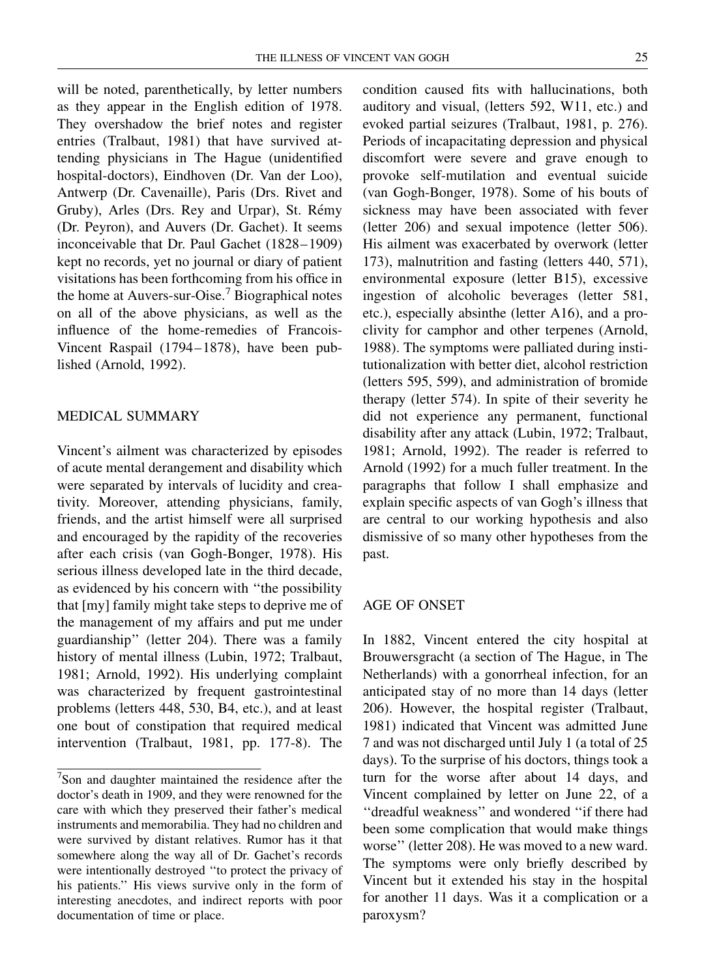THE ILLNESS OF VINCENT VAN GOGH 25

will be noted, parenthetically, by letter numbers as they appear in the English edition of 1978. They overshadow the brief notes and register entries (Tralbaut, 1981) that have survived attending physicians in The Hague (unidentified hospital-doctors), Eindhoven (Dr. Van der Loo), Antwerp (Dr. Cavenaille), Paris (Drs. Rivet and Gruby), Arles (Drs. Rey and Urpar), St. Rémy (Dr. Peyron), and Auvers (Dr. Gachet). It seems inconceivable that Dr. Paul Gachet (1828–1909) kept no records, yet no journal or diary of patient visitations has been forthcoming from his office in the home at Auvers-sur-Oise.<sup>7</sup> Biographical notes on all of the above physicians, as well as the influence of the home-remedies of Francois-Vincent Raspail (1794–1878), have been published (Arnold, 1992).

#### MEDICAL SUMMARY

Vincent's ailment was characterized by episodes of acute mental derangement and disability which were separated by intervals of lucidity and creativity. Moreover, attending physicians, family, friends, and the artist himself were all surprised and encouraged by the rapidity of the recoveries after each crisis (van Gogh-Bonger, 1978). His serious illness developed late in the third decade, as evidenced by his concern with ''the possibility that [my] family might take steps to deprive me of the management of my affairs and put me under guardianship'' (letter 204). There was a family history of mental illness (Lubin, 1972; Tralbaut, 1981; Arnold, 1992). His underlying complaint was characterized by frequent gastrointestinal problems (letters 448, 530, B4, etc.), and at least one bout of constipation that required medical intervention (Tralbaut, 1981, pp. 177-8). The

condition caused fits with hallucinations, both auditory and visual, (letters 592, W11, etc.) and evoked partial seizures (Tralbaut, 1981, p. 276). Periods of incapacitating depression and physical discomfort were severe and grave enough to provoke self-mutilation and eventual suicide (van Gogh-Bonger, 1978). Some of his bouts of sickness may have been associated with fever (letter 206) and sexual impotence (letter 506). His ailment was exacerbated by overwork (letter 173), malnutrition and fasting (letters 440, 571), environmental exposure (letter B15), excessive ingestion of alcoholic beverages (letter 581, etc.), especially absinthe (letter A16), and a proclivity for camphor and other terpenes (Arnold, 1988). The symptoms were palliated during institutionalization with better diet, alcohol restriction (letters 595, 599), and administration of bromide therapy (letter 574). In spite of their severity he did not experience any permanent, functional disability after any attack (Lubin, 1972; Tralbaut, 1981; Arnold, 1992). The reader is referred to Arnold (1992) for a much fuller treatment. In the paragraphs that follow I shall emphasize and explain specific aspects of van Gogh's illness that are central to our working hypothesis and also dismissive of so many other hypotheses from the past.

#### AGE OF ONSET

In 1882, Vincent entered the city hospital at Brouwersgracht (a section of The Hague, in The Netherlands) with a gonorrheal infection, for an anticipated stay of no more than 14 days (letter 206). However, the hospital register (Tralbaut, 1981) indicated that Vincent was admitted June 7 and was not discharged until July 1 (a total of 25 days). To the surprise of his doctors, things took a turn for the worse after about 14 days, and Vincent complained by letter on June 22, of a ''dreadful weakness'' and wondered ''if there had been some complication that would make things worse'' (letter 208). He was moved to a new ward. The symptoms were only briefly described by Vincent but it extended his stay in the hospital for another 11 days. Was it a complication or a paroxysm?

<sup>&</sup>lt;sup>7</sup>Son and daughter maintained the residence after the doctor's death in 1909, and they were renowned for the care with which they preserved their father's medical instruments and memorabilia. They had no children and were survived by distant relatives. Rumor has it that somewhere along the way all of Dr. Gachet's records were intentionally destroyed ''to protect the privacy of his patients.'' His views survive only in the form of interesting anecdotes, and indirect reports with poor documentation of time or place.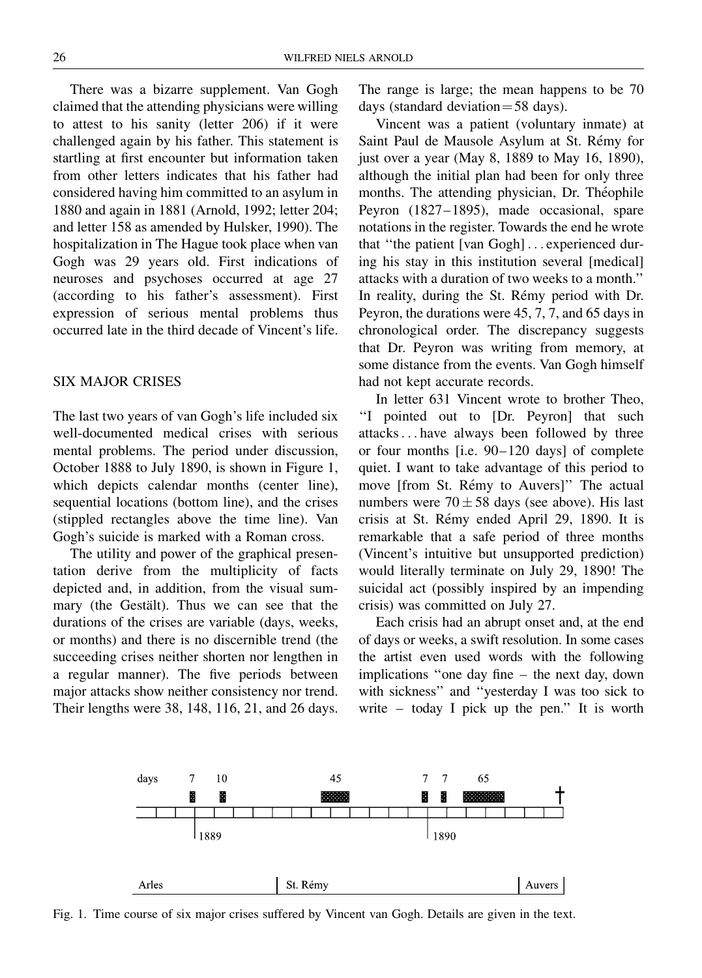There was a bizarre supplement. Van Gogh claimed that the attending physicians were willing to attest to his sanity (letter 206) if it were challenged again by his father. This statement is startling at first encounter but information taken from other letters indicates that his father had considered having him committed to an asylum in 1880 and again in 1881 (Arnold, 1992; letter 204; and letter 158 as amended by Hulsker, 1990). The hospitalization in The Hague took place when van Gogh was 29 years old. First indications of neuroses and psychoses occurred at age 27 (according to his father's assessment). First expression of serious mental problems thus occurred late in the third decade of Vincent's life.

#### SIX MAJOR CRISES

The last two years of van Gogh's life included six well-documented medical crises with serious mental problems. The period under discussion, October 1888 to July 1890, is shown in Figure 1, which depicts calendar months (center line), sequential locations (bottom line), and the crises (stippled rectangles above the time line). Van Gogh's suicide is marked with a Roman cross.

The utility and power of the graphical presentation derive from the multiplicity of facts depicted and, in addition, from the visual summary (the Gestält). Thus we can see that the durations of the crises are variable (days, weeks, or months) and there is no discernible trend (the succeeding crises neither shorten nor lengthen in a regular manner). The five periods between major attacks show neither consistency nor trend. Their lengths were 38, 148, 116, 21, and 26 days. The range is large; the mean happens to be 70 days (standard deviation  $=$  58 days).

Vincent was a patient (voluntary inmate) at Saint Paul de Mausole Asylum at St. Rémy for just over a year (May 8, 1889 to May 16, 1890), although the initial plan had been for only three months. The attending physician, Dr. Théophile Peyron (1827–1895), made occasional, spare notations in the register. Towards the end he wrote that ''the patient [van Gogh] ... experienced during his stay in this institution several [medical] attacks with a duration of two weeks to a month.'' In reality, during the St. Rémy period with Dr. Peyron, the durations were 45, 7, 7, and 65 days in chronological order. The discrepancy suggests that Dr. Peyron was writing from memory, at some distance from the events. Van Gogh himself had not kept accurate records.

In letter 631 Vincent wrote to brother Theo, ''I pointed out to [Dr. Peyron] that such attacks... have always been followed by three or four months [i.e. 90–120 days] of complete quiet. I want to take advantage of this period to move [from St. Rémy to Auvers]" The actual numbers were  $70 \pm 58$  days (see above). His last crisis at St. Rémy ended April 29, 1890. It is remarkable that a safe period of three months (Vincent's intuitive but unsupported prediction) would literally terminate on July 29, 1890! The suicidal act (possibly inspired by an impending crisis) was committed on July 27.

Each crisis had an abrupt onset and, at the end of days or weeks, a swift resolution. In some cases the artist even used words with the following implications ''one day fine – the next day, down with sickness'' and ''yesterday I was too sick to write – today I pick up the pen.'' It is worth



Fig. 1. Time course of six major crises suffered by Vincent van Gogh. Details are given in the text.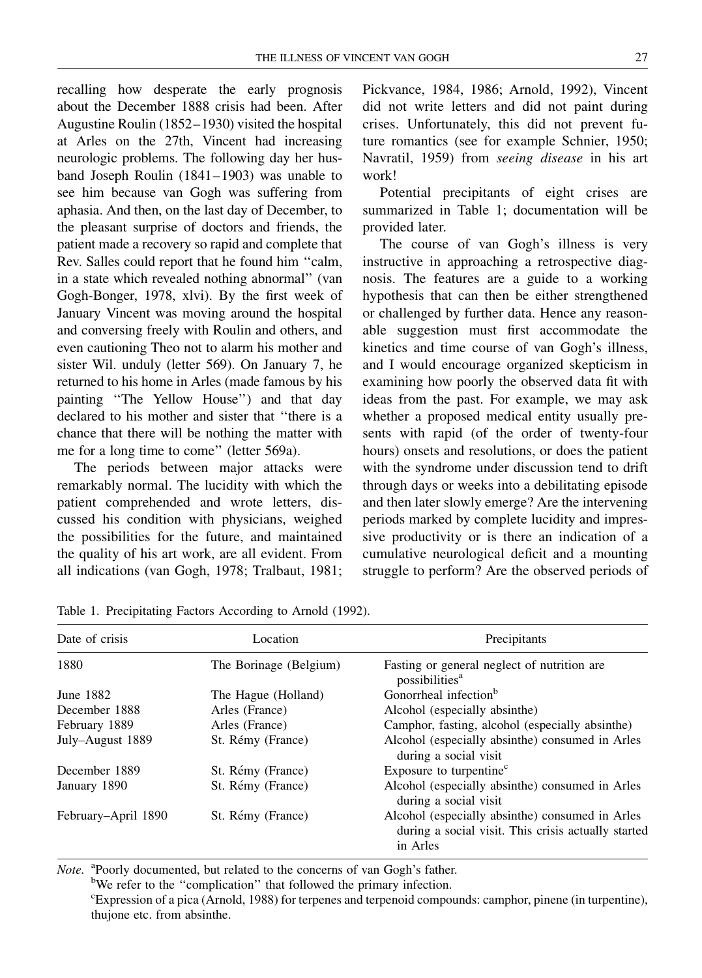recalling how desperate the early prognosis about the December 1888 crisis had been. After Augustine Roulin (1852–1930) visited the hospital at Arles on the 27th, Vincent had increasing neurologic problems. The following day her husband Joseph Roulin (1841–1903) was unable to see him because van Gogh was suffering from aphasia. And then, on the last day of December, to the pleasant surprise of doctors and friends, the patient made a recovery so rapid and complete that Rev. Salles could report that he found him ''calm, in a state which revealed nothing abnormal'' (van Gogh-Bonger, 1978, xlvi). By the first week of January Vincent was moving around the hospital and conversing freely with Roulin and others, and even cautioning Theo not to alarm his mother and sister Wil. unduly (letter 569). On January 7, he returned to his home in Arles (made famous by his painting ''The Yellow House'') and that day declared to his mother and sister that ''there is a chance that there will be nothing the matter with me for a long time to come'' (letter 569a).

The periods between major attacks were remarkably normal. The lucidity with which the patient comprehended and wrote letters, discussed his condition with physicians, weighed the possibilities for the future, and maintained the quality of his art work, are all evident. From all indications (van Gogh, 1978; Tralbaut, 1981; Pickvance, 1984, 1986; Arnold, 1992), Vincent did not write letters and did not paint during crises. Unfortunately, this did not prevent future romantics (see for example Schnier, 1950; Navratil, 1959) from seeing disease in his art work!

Potential precipitants of eight crises are summarized in Table 1; documentation will be provided later.

The course of van Gogh's illness is very instructive in approaching a retrospective diagnosis. The features are a guide to a working hypothesis that can then be either strengthened or challenged by further data. Hence any reasonable suggestion must first accommodate the kinetics and time course of van Gogh's illness, and I would encourage organized skepticism in examining how poorly the observed data fit with ideas from the past. For example, we may ask whether a proposed medical entity usually presents with rapid (of the order of twenty-four hours) onsets and resolutions, or does the patient with the syndrome under discussion tend to drift through days or weeks into a debilitating episode and then later slowly emerge? Are the intervening periods marked by complete lucidity and impressive productivity or is there an indication of a cumulative neurological deficit and a mounting struggle to perform? Are the observed periods of

| Date of crisis      | Location               | Precipitants                                                                                                       |
|---------------------|------------------------|--------------------------------------------------------------------------------------------------------------------|
| 1880                | The Borinage (Belgium) | Fasting or general neglect of nutrition are.<br>possibilities <sup>a</sup>                                         |
| June 1882           | The Hague (Holland)    | Gonorrheal infection <sup>b</sup>                                                                                  |
| December 1888       | Arles (France)         | Alcohol (especially absinthe)                                                                                      |
| February 1889       | Arles (France)         | Camphor, fasting, alcohol (especially absinthe)                                                                    |
| July-August 1889    | St. Rémy (France)      | Alcohol (especially absinthe) consumed in Arles<br>during a social visit                                           |
| December 1889       | St. Rémy (France)      | Exposure to turpentine <sup>c</sup>                                                                                |
| January 1890        | St. Rémy (France)      | Alcohol (especially absinthe) consumed in Arles<br>during a social visit                                           |
| February–April 1890 | St. Rémy (France)      | Alcohol (especially absinthe) consumed in Arles<br>during a social visit. This crisis actually started<br>in Arles |

Table 1. Precipitating Factors According to Arnold (1992).

Note. <sup>a</sup> Poorly documented, but related to the concerns of van Gogh's father.

<sup>b</sup>We refer to the "complication" that followed the primary infection.

Expression of a pica (Arnold, 1988) for terpenes and terpenoid compounds: camphor, pinene (in turpentine), thujone etc. from absinthe.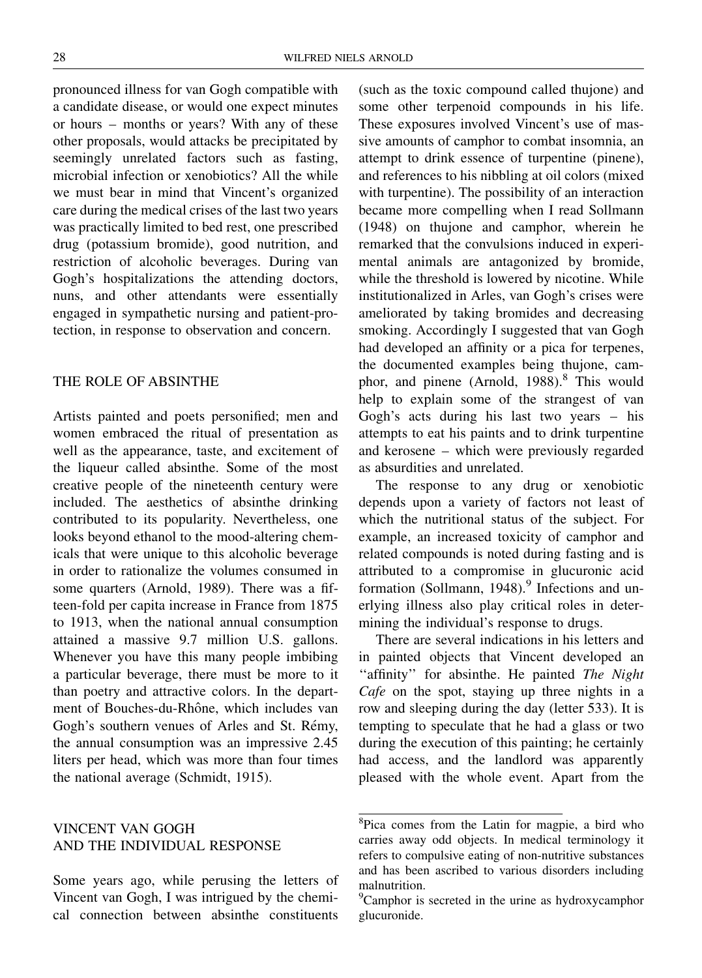pronounced illness for van Gogh compatible with a candidate disease, or would one expect minutes or hours – months or years? With any of these other proposals, would attacks be precipitated by seemingly unrelated factors such as fasting, microbial infection or xenobiotics? All the while we must bear in mind that Vincent's organized care during the medical crises of the last two years was practically limited to bed rest, one prescribed drug (potassium bromide), good nutrition, and restriction of alcoholic beverages. During van Gogh's hospitalizations the attending doctors, nuns, and other attendants were essentially engaged in sympathetic nursing and patient-protection, in response to observation and concern.

#### THE ROLE OF ABSINTHE

Artists painted and poets personified; men and women embraced the ritual of presentation as well as the appearance, taste, and excitement of the liqueur called absinthe. Some of the most creative people of the nineteenth century were included. The aesthetics of absinthe drinking contributed to its popularity. Nevertheless, one looks beyond ethanol to the mood-altering chemicals that were unique to this alcoholic beverage in order to rationalize the volumes consumed in some quarters (Arnold, 1989). There was a fifteen-fold per capita increase in France from 1875 to 1913, when the national annual consumption attained a massive 9.7 million U.S. gallons. Whenever you have this many people imbibing a particular beverage, there must be more to it than poetry and attractive colors. In the department of Bouches-du-Rhône, which includes van Gogh's southern venues of Arles and St. Rémy, the annual consumption was an impressive 2.45 liters per head, which was more than four times the national average (Schmidt, 1915).

# VINCENT VAN GOGH AND THE INDIVIDUAL RESPONSE

Some years ago, while perusing the letters of Vincent van Gogh, I was intrigued by the chemical connection between absinthe constituents (such as the toxic compound called thujone) and some other terpenoid compounds in his life. These exposures involved Vincent's use of massive amounts of camphor to combat insomnia, an attempt to drink essence of turpentine (pinene), and references to his nibbling at oil colors (mixed with turpentine). The possibility of an interaction became more compelling when I read Sollmann (1948) on thujone and camphor, wherein he remarked that the convulsions induced in experimental animals are antagonized by bromide, while the threshold is lowered by nicotine. While institutionalized in Arles, van Gogh's crises were ameliorated by taking bromides and decreasing smoking. Accordingly I suggested that van Gogh had developed an affinity or a pica for terpenes, the documented examples being thujone, camphor, and pinene (Arnold, 1988).<sup>8</sup> This would help to explain some of the strangest of van Gogh's acts during his last two years – his attempts to eat his paints and to drink turpentine and kerosene – which were previously regarded as absurdities and unrelated.

The response to any drug or xenobiotic depends upon a variety of factors not least of which the nutritional status of the subject. For example, an increased toxicity of camphor and related compounds is noted during fasting and is attributed to a compromise in glucuronic acid formation (Sollmann, 1948).<sup>9</sup> Infections and unerlying illness also play critical roles in determining the individual's response to drugs.

There are several indications in his letters and in painted objects that Vincent developed an "affinity" for absinthe. He painted The Night Cafe on the spot, staying up three nights in a row and sleeping during the day (letter 533). It is tempting to speculate that he had a glass or two during the execution of this painting; he certainly had access, and the landlord was apparently pleased with the whole event. Apart from the

<sup>&</sup>lt;sup>8</sup>Pica comes from the Latin for magpie, a bird who carries away odd objects. In medical terminology it refers to compulsive eating of non-nutritive substances and has been ascribed to various disorders including malnutrition.

<sup>&</sup>lt;sup>9</sup>Camphor is secreted in the urine as hydroxycamphor glucuronide.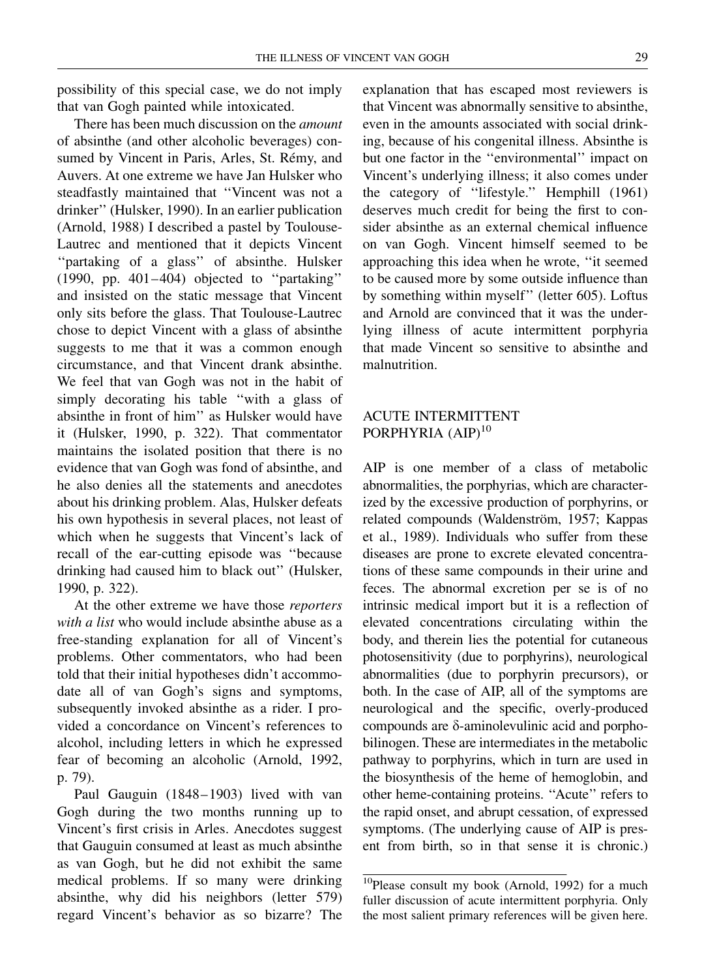possibility of this special case, we do not imply that van Gogh painted while intoxicated.

There has been much discussion on the *amount* of absinthe (and other alcoholic beverages) consumed by Vincent in Paris, Arles, St. Rémy, and Auvers. At one extreme we have Jan Hulsker who steadfastly maintained that ''Vincent was not a drinker'' (Hulsker, 1990). In an earlier publication (Arnold, 1988) I described a pastel by Toulouse-Lautrec and mentioned that it depicts Vincent ''partaking of a glass'' of absinthe. Hulsker (1990, pp. 401–404) objected to ''partaking'' and insisted on the static message that Vincent only sits before the glass. That Toulouse-Lautrec chose to depict Vincent with a glass of absinthe suggests to me that it was a common enough circumstance, and that Vincent drank absinthe. We feel that van Gogh was not in the habit of simply decorating his table ''with a glass of absinthe in front of him'' as Hulsker would have it (Hulsker, 1990, p. 322). That commentator maintains the isolated position that there is no evidence that van Gogh was fond of absinthe, and he also denies all the statements and anecdotes about his drinking problem. Alas, Hulsker defeats his own hypothesis in several places, not least of which when he suggests that Vincent's lack of recall of the ear-cutting episode was ''because drinking had caused him to black out'' (Hulsker, 1990, p. 322).

At the other extreme we have those *reporters* with a list who would include absinthe abuse as a free-standing explanation for all of Vincent's problems. Other commentators, who had been told that their initial hypotheses didn't accommodate all of van Gogh's signs and symptoms, subsequently invoked absinthe as a rider. I provided a concordance on Vincent's references to alcohol, including letters in which he expressed fear of becoming an alcoholic (Arnold, 1992, p. 79).

Paul Gauguin (1848–1903) lived with van Gogh during the two months running up to Vincent's first crisis in Arles. Anecdotes suggest that Gauguin consumed at least as much absinthe as van Gogh, but he did not exhibit the same medical problems. If so many were drinking absinthe, why did his neighbors (letter 579) regard Vincent's behavior as so bizarre? The explanation that has escaped most reviewers is that Vincent was abnormally sensitive to absinthe, even in the amounts associated with social drinking, because of his congenital illness. Absinthe is but one factor in the ''environmental'' impact on Vincent's underlying illness; it also comes under the category of ''lifestyle.'' Hemphill (1961) deserves much credit for being the first to consider absinthe as an external chemical influence on van Gogh. Vincent himself seemed to be approaching this idea when he wrote, ''it seemed to be caused more by some outside influence than by something within myself'' (letter 605). Loftus and Arnold are convinced that it was the underlying illness of acute intermittent porphyria that made Vincent so sensitive to absinthe and malnutrition.

# ACUTE INTERMITTENT PORPHYRIA (AIP)<sup>10</sup>

AIP is one member of a class of metabolic abnormalities, the porphyrias, which are characterized by the excessive production of porphyrins, or related compounds (Waldenström, 1957; Kappas et al., 1989). Individuals who suffer from these diseases are prone to excrete elevated concentrations of these same compounds in their urine and feces. The abnormal excretion per se is of no intrinsic medical import but it is a reflection of elevated concentrations circulating within the body, and therein lies the potential for cutaneous photosensitivity (due to porphyrins), neurological abnormalities (due to porphyrin precursors), or both. In the case of AIP, all of the symptoms are neurological and the specific, overly-produced compounds are  $\delta$ -aminolevulinic acid and porphobilinogen. These are intermediates in the metabolic pathway to porphyrins, which in turn are used in the biosynthesis of the heme of hemoglobin, and other heme-containing proteins. ''Acute'' refers to the rapid onset, and abrupt cessation, of expressed symptoms. (The underlying cause of AIP is present from birth, so in that sense it is chronic.)

<sup>&</sup>lt;sup>10</sup>Please consult my book (Arnold, 1992) for a much fuller discussion of acute intermittent porphyria. Only the most salient primary references will be given here.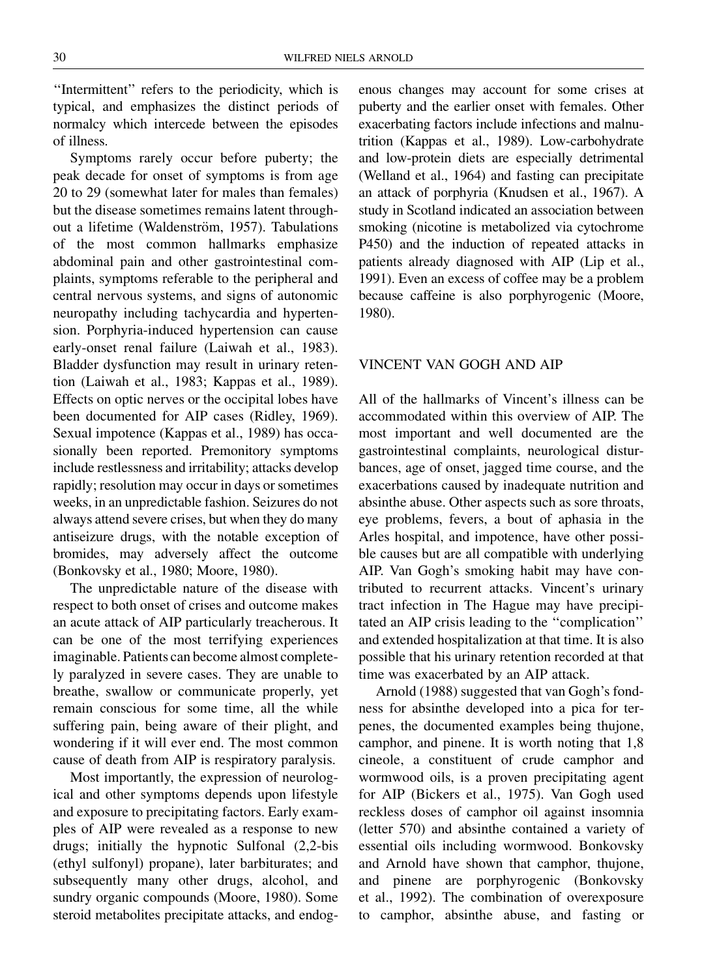''Intermittent'' refers to the periodicity, which is typical, and emphasizes the distinct periods of normalcy which intercede between the episodes of illness.

Symptoms rarely occur before puberty; the peak decade for onset of symptoms is from age 20 to 29 (somewhat later for males than females) but the disease sometimes remains latent throughout a lifetime (Waldenström, 1957). Tabulations of the most common hallmarks emphasize abdominal pain and other gastrointestinal complaints, symptoms referable to the peripheral and central nervous systems, and signs of autonomic neuropathy including tachycardia and hypertension. Porphyria-induced hypertension can cause early-onset renal failure (Laiwah et al., 1983). Bladder dysfunction may result in urinary retention (Laiwah et al., 1983; Kappas et al., 1989). Effects on optic nerves or the occipital lobes have been documented for AIP cases (Ridley, 1969). Sexual impotence (Kappas et al., 1989) has occasionally been reported. Premonitory symptoms include restlessness and irritability; attacks develop rapidly; resolution may occur in days or sometimes weeks, in an unpredictable fashion. Seizures do not always attend severe crises, but when they do many antiseizure drugs, with the notable exception of bromides, may adversely affect the outcome (Bonkovsky et al., 1980; Moore, 1980).

The unpredictable nature of the disease with respect to both onset of crises and outcome makes an acute attack of AIP particularly treacherous. It can be one of the most terrifying experiences imaginable. Patients can become almost completely paralyzed in severe cases. They are unable to breathe, swallow or communicate properly, yet remain conscious for some time, all the while suffering pain, being aware of their plight, and wondering if it will ever end. The most common cause of death from AIP is respiratory paralysis.

Most importantly, the expression of neurological and other symptoms depends upon lifestyle and exposure to precipitating factors. Early examples of AIP were revealed as a response to new drugs; initially the hypnotic Sulfonal (2,2-bis (ethyl sulfonyl) propane), later barbiturates; and subsequently many other drugs, alcohol, and sundry organic compounds (Moore, 1980). Some steroid metabolites precipitate attacks, and endogenous changes may account for some crises at puberty and the earlier onset with females. Other exacerbating factors include infections and malnutrition (Kappas et al., 1989). Low-carbohydrate and low-protein diets are especially detrimental (Welland et al., 1964) and fasting can precipitate an attack of porphyria (Knudsen et al., 1967). A study in Scotland indicated an association between smoking (nicotine is metabolized via cytochrome P450) and the induction of repeated attacks in patients already diagnosed with AIP (Lip et al., 1991). Even an excess of coffee may be a problem because caffeine is also porphyrogenic (Moore, 1980).

#### VINCENT VAN GOGH AND AIP

All of the hallmarks of Vincent's illness can be accommodated within this overview of AIP. The most important and well documented are the gastrointestinal complaints, neurological disturbances, age of onset, jagged time course, and the exacerbations caused by inadequate nutrition and absinthe abuse. Other aspects such as sore throats, eye problems, fevers, a bout of aphasia in the Arles hospital, and impotence, have other possible causes but are all compatible with underlying AIP. Van Gogh's smoking habit may have contributed to recurrent attacks. Vincent's urinary tract infection in The Hague may have precipitated an AIP crisis leading to the ''complication'' and extended hospitalization at that time. It is also possible that his urinary retention recorded at that time was exacerbated by an AIP attack.

Arnold (1988) suggested that van Gogh's fondness for absinthe developed into a pica for terpenes, the documented examples being thujone, camphor, and pinene. It is worth noting that 1,8 cineole, a constituent of crude camphor and wormwood oils, is a proven precipitating agent for AIP (Bickers et al., 1975). Van Gogh used reckless doses of camphor oil against insomnia (letter 570) and absinthe contained a variety of essential oils including wormwood. Bonkovsky and Arnold have shown that camphor, thujone, and pinene are porphyrogenic (Bonkovsky et al., 1992). The combination of overexposure to camphor, absinthe abuse, and fasting or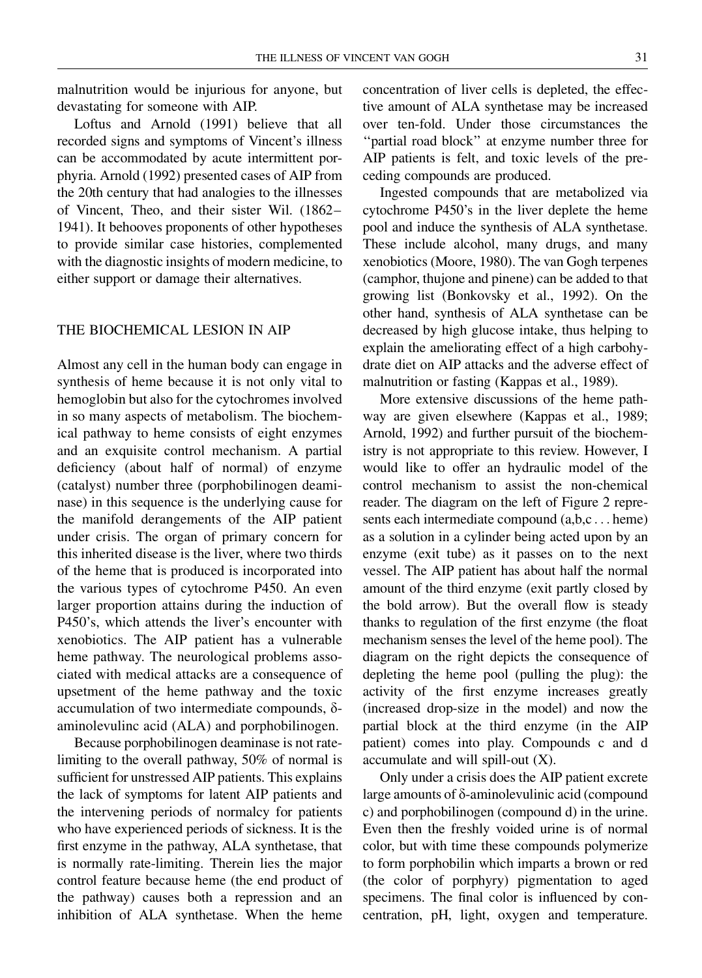malnutrition would be injurious for anyone, but devastating for someone with AIP.

Loftus and Arnold (1991) believe that all recorded signs and symptoms of Vincent's illness can be accommodated by acute intermittent porphyria. Arnold (1992) presented cases of AIP from the 20th century that had analogies to the illnesses of Vincent, Theo, and their sister Wil. (1862– 1941). It behooves proponents of other hypotheses to provide similar case histories, complemented with the diagnostic insights of modern medicine, to either support or damage their alternatives.

#### THE BIOCHEMICAL LESION IN AIP

Almost any cell in the human body can engage in synthesis of heme because it is not only vital to hemoglobin but also for the cytochromes involved in so many aspects of metabolism. The biochemical pathway to heme consists of eight enzymes and an exquisite control mechanism. A partial deficiency (about half of normal) of enzyme (catalyst) number three (porphobilinogen deaminase) in this sequence is the underlying cause for the manifold derangements of the AIP patient under crisis. The organ of primary concern for this inherited disease is the liver, where two thirds of the heme that is produced is incorporated into the various types of cytochrome P450. An even larger proportion attains during the induction of P450's, which attends the liver's encounter with xenobiotics. The AIP patient has a vulnerable heme pathway. The neurological problems associated with medical attacks are a consequence of upsetment of the heme pathway and the toxic accumulation of two intermediate compounds,  $\delta$ aminolevulinc acid (ALA) and porphobilinogen.

Because porphobilinogen deaminase is not ratelimiting to the overall pathway, 50% of normal is sufficient for unstressed AIP patients. This explains the lack of symptoms for latent AIP patients and the intervening periods of normalcy for patients who have experienced periods of sickness. It is the first enzyme in the pathway, ALA synthetase, that is normally rate-limiting. Therein lies the major control feature because heme (the end product of the pathway) causes both a repression and an inhibition of ALA synthetase. When the heme

concentration of liver cells is depleted, the effective amount of ALA synthetase may be increased over ten-fold. Under those circumstances the "partial road block" at enzyme number three for AIP patients is felt, and toxic levels of the preceding compounds are produced.

Ingested compounds that are metabolized via cytochrome P450's in the liver deplete the heme pool and induce the synthesis of ALA synthetase. These include alcohol, many drugs, and many xenobiotics (Moore, 1980). The van Gogh terpenes (camphor, thujone and pinene) can be added to that growing list (Bonkovsky et al., 1992). On the other hand, synthesis of ALA synthetase can be decreased by high glucose intake, thus helping to explain the ameliorating effect of a high carbohydrate diet on AIP attacks and the adverse effect of malnutrition or fasting (Kappas et al., 1989).

More extensive discussions of the heme pathway are given elsewhere (Kappas et al., 1989; Arnold, 1992) and further pursuit of the biochemistry is not appropriate to this review. However, I would like to offer an hydraulic model of the control mechanism to assist the non-chemical reader. The diagram on the left of Figure 2 represents each intermediate compound (a,b,c ... heme) as a solution in a cylinder being acted upon by an enzyme (exit tube) as it passes on to the next vessel. The AIP patient has about half the normal amount of the third enzyme (exit partly closed by the bold arrow). But the overall flow is steady thanks to regulation of the first enzyme (the float mechanism senses the level of the heme pool). The diagram on the right depicts the consequence of depleting the heme pool (pulling the plug): the activity of the first enzyme increases greatly (increased drop-size in the model) and now the partial block at the third enzyme (in the AIP patient) comes into play. Compounds c and d accumulate and will spill-out (X).

Only under a crisis does the AIP patient excrete large amounts of  $\delta$ -aminolevulinic acid (compound c) and porphobilinogen (compound d) in the urine. Even then the freshly voided urine is of normal color, but with time these compounds polymerize to form porphobilin which imparts a brown or red (the color of porphyry) pigmentation to aged specimens. The final color is influenced by concentration, pH, light, oxygen and temperature.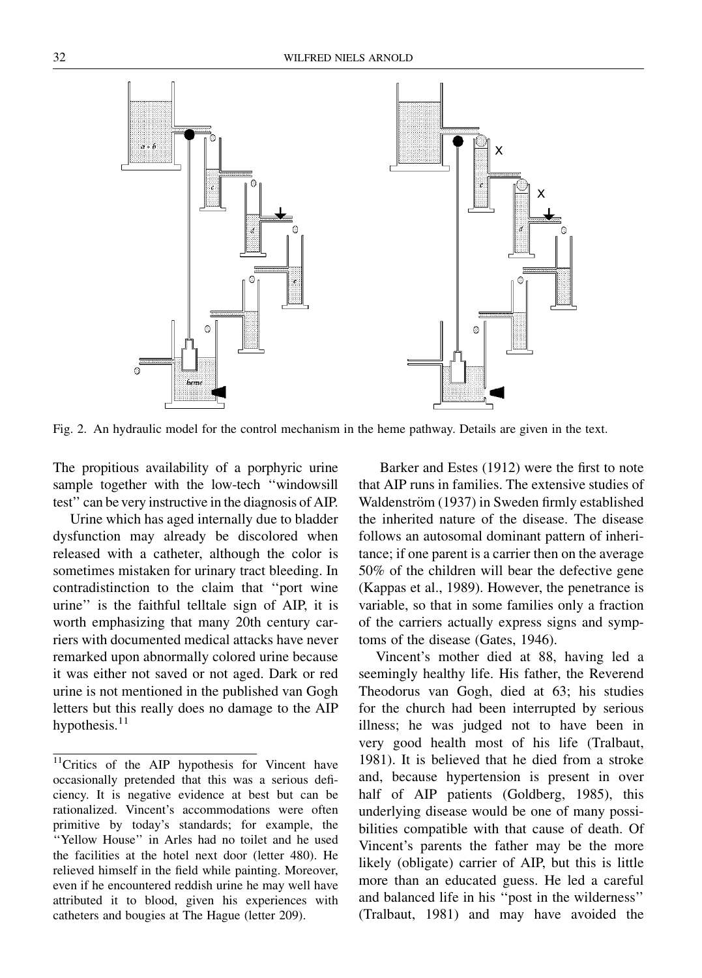

Fig. 2. An hydraulic model for the control mechanism in the heme pathway. Details are given in the text.

The propitious availability of a porphyric urine sample together with the low-tech ''windowsill test'' can be very instructive in the diagnosis of AIP.

Urine which has aged internally due to bladder dysfunction may already be discolored when released with a catheter, although the color is sometimes mistaken for urinary tract bleeding. In contradistinction to the claim that ''port wine urine'' is the faithful telltale sign of AIP, it is worth emphasizing that many 20th century carriers with documented medical attacks have never remarked upon abnormally colored urine because it was either not saved or not aged. Dark or red urine is not mentioned in the published van Gogh letters but this really does no damage to the AIP hypothesis. $11$ 

Barker and Estes (1912) were the first to note that AIP runs in families. The extensive studies of Waldenström (1937) in Sweden firmly established the inherited nature of the disease. The disease follows an autosomal dominant pattern of inheritance; if one parent is a carrier then on the average 50% of the children will bear the defective gene (Kappas et al., 1989). However, the penetrance is variable, so that in some families only a fraction of the carriers actually express signs and symptoms of the disease (Gates, 1946).

Vincent's mother died at 88, having led a seemingly healthy life. His father, the Reverend Theodorus van Gogh, died at 63; his studies for the church had been interrupted by serious illness; he was judged not to have been in very good health most of his life (Tralbaut, 1981). It is believed that he died from a stroke and, because hypertension is present in over half of AIP patients (Goldberg, 1985), this underlying disease would be one of many possibilities compatible with that cause of death. Of Vincent's parents the father may be the more likely (obligate) carrier of AIP, but this is little more than an educated guess. He led a careful and balanced life in his ''post in the wilderness'' (Tralbaut, 1981) and may have avoided the

 $11$ Critics of the AIP hypothesis for Vincent have occasionally pretended that this was a serious deficiency. It is negative evidence at best but can be rationalized. Vincent's accommodations were often primitive by today's standards; for example, the ''Yellow House'' in Arles had no toilet and he used the facilities at the hotel next door (letter 480). He relieved himself in the field while painting. Moreover, even if he encountered reddish urine he may well have attributed it to blood, given his experiences with catheters and bougies at The Hague (letter 209).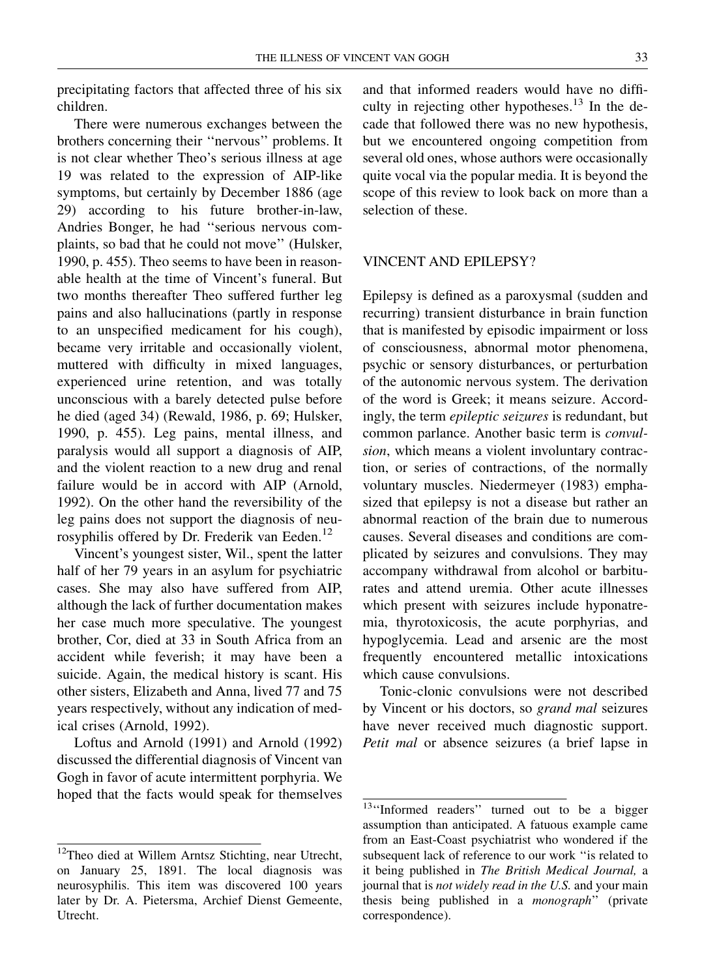precipitating factors that affected three of his six children.

There were numerous exchanges between the brothers concerning their ''nervous'' problems. It is not clear whether Theo's serious illness at age 19 was related to the expression of AIP-like symptoms, but certainly by December 1886 (age 29) according to his future brother-in-law, Andries Bonger, he had ''serious nervous complaints, so bad that he could not move'' (Hulsker, 1990, p. 455). Theo seems to have been in reasonable health at the time of Vincent's funeral. But two months thereafter Theo suffered further leg pains and also hallucinations (partly in response to an unspecified medicament for his cough), became very irritable and occasionally violent, muttered with difficulty in mixed languages, experienced urine retention, and was totally unconscious with a barely detected pulse before he died (aged 34) (Rewald, 1986, p. 69; Hulsker, 1990, p. 455). Leg pains, mental illness, and paralysis would all support a diagnosis of AIP, and the violent reaction to a new drug and renal failure would be in accord with AIP (Arnold, 1992). On the other hand the reversibility of the leg pains does not support the diagnosis of neurosyphilis offered by Dr. Frederik van Eeden.<sup>12</sup>

Vincent's youngest sister, Wil., spent the latter half of her 79 years in an asylum for psychiatric cases. She may also have suffered from AIP, although the lack of further documentation makes her case much more speculative. The youngest brother, Cor, died at 33 in South Africa from an accident while feverish; it may have been a suicide. Again, the medical history is scant. His other sisters, Elizabeth and Anna, lived 77 and 75 years respectively, without any indication of medical crises (Arnold, 1992).

Loftus and Arnold (1991) and Arnold (1992) discussed the differential diagnosis of Vincent van Gogh in favor of acute intermittent porphyria. We hoped that the facts would speak for themselves

and that informed readers would have no difficulty in rejecting other hypotheses.<sup>13</sup> In the decade that followed there was no new hypothesis, but we encountered ongoing competition from several old ones, whose authors were occasionally quite vocal via the popular media. It is beyond the scope of this review to look back on more than a selection of these.

#### VINCENT AND EPILEPSY?

Epilepsy is defined as a paroxysmal (sudden and recurring) transient disturbance in brain function that is manifested by episodic impairment or loss of consciousness, abnormal motor phenomena, psychic or sensory disturbances, or perturbation of the autonomic nervous system. The derivation of the word is Greek; it means seizure. Accordingly, the term epileptic seizures is redundant, but common parlance. Another basic term is convulsion, which means a violent involuntary contraction, or series of contractions, of the normally voluntary muscles. Niedermeyer (1983) emphasized that epilepsy is not a disease but rather an abnormal reaction of the brain due to numerous causes. Several diseases and conditions are complicated by seizures and convulsions. They may accompany withdrawal from alcohol or barbiturates and attend uremia. Other acute illnesses which present with seizures include hyponatremia, thyrotoxicosis, the acute porphyrias, and hypoglycemia. Lead and arsenic are the most frequently encountered metallic intoxications which cause convulsions.

Tonic-clonic convulsions were not described by Vincent or his doctors, so grand mal seizures have never received much diagnostic support. Petit mal or absence seizures (a brief lapse in

<sup>&</sup>lt;sup>12</sup>Theo died at Willem Arntsz Stichting, near Utrecht, on January 25, 1891. The local diagnosis was neurosyphilis. This item was discovered 100 years later by Dr. A. Pietersma, Archief Dienst Gemeente, Utrecht.

<sup>&</sup>lt;sup>13</sup>"Informed readers" turned out to be a bigger assumption than anticipated. A fatuous example came from an East-Coast psychiatrist who wondered if the subsequent lack of reference to our work ''is related to it being published in The British Medical Journal, a journal that is not widely read in the U.S. and your main thesis being published in a monograph'' (private correspondence).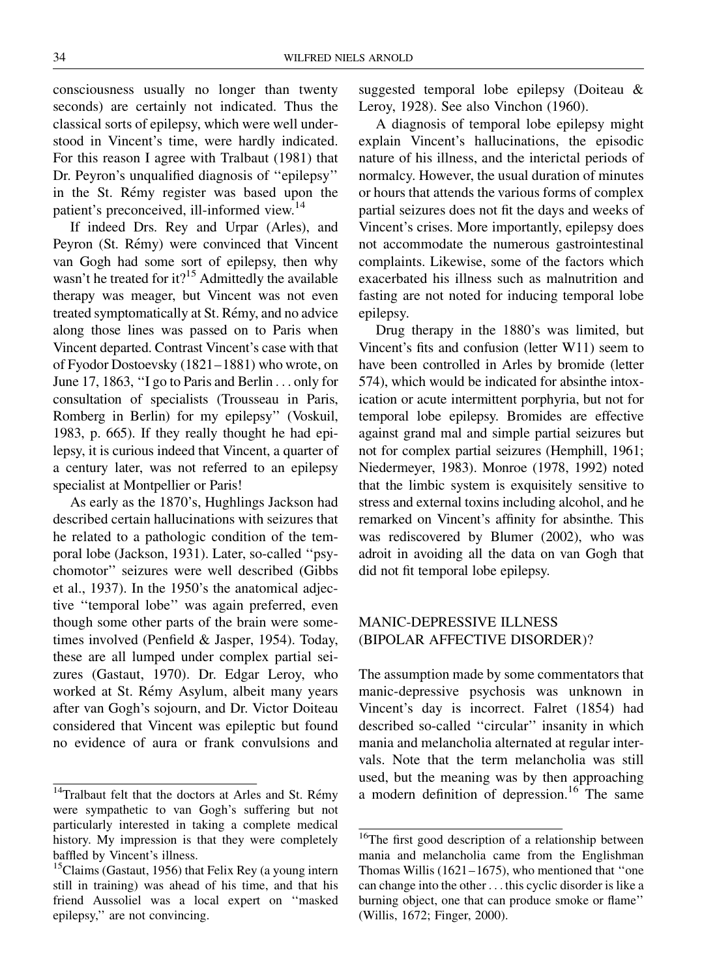consciousness usually no longer than twenty seconds) are certainly not indicated. Thus the classical sorts of epilepsy, which were well understood in Vincent's time, were hardly indicated. For this reason I agree with Tralbaut (1981) that Dr. Peyron's unqualified diagnosis of ''epilepsy'' in the St. Rémy register was based upon the patient's preconceived, ill-informed view.<sup>14</sup>

If indeed Drs. Rey and Urpar (Arles), and Peyron (St. Rémy) were convinced that Vincent van Gogh had some sort of epilepsy, then why wasn't he treated for it?<sup>15</sup> Admittedly the available therapy was meager, but Vincent was not even treated symptomatically at St. Rémy, and no advice along those lines was passed on to Paris when Vincent departed. Contrast Vincent's case with that of Fyodor Dostoevsky (1821–1881) who wrote, on June 17, 1863, ''I go to Paris and Berlin ... only for consultation of specialists (Trousseau in Paris, Romberg in Berlin) for my epilepsy'' (Voskuil, 1983, p. 665). If they really thought he had epilepsy, it is curious indeed that Vincent, a quarter of a century later, was not referred to an epilepsy specialist at Montpellier or Paris!

As early as the 1870's, Hughlings Jackson had described certain hallucinations with seizures that he related to a pathologic condition of the temporal lobe (Jackson, 1931). Later, so-called ''psychomotor'' seizures were well described (Gibbs et al., 1937). In the 1950's the anatomical adjective ''temporal lobe'' was again preferred, even though some other parts of the brain were sometimes involved (Penfield & Jasper, 1954). Today, these are all lumped under complex partial seizures (Gastaut, 1970). Dr. Edgar Leroy, who worked at St. Rémy Asylum, albeit many years after van Gogh's sojourn, and Dr. Victor Doiteau considered that Vincent was epileptic but found no evidence of aura or frank convulsions and suggested temporal lobe epilepsy (Doiteau & Leroy, 1928). See also Vinchon (1960).

A diagnosis of temporal lobe epilepsy might explain Vincent's hallucinations, the episodic nature of his illness, and the interictal periods of normalcy. However, the usual duration of minutes or hours that attends the various forms of complex partial seizures does not fit the days and weeks of Vincent's crises. More importantly, epilepsy does not accommodate the numerous gastrointestinal complaints. Likewise, some of the factors which exacerbated his illness such as malnutrition and fasting are not noted for inducing temporal lobe epilepsy.

Drug therapy in the 1880's was limited, but Vincent's fits and confusion (letter W11) seem to have been controlled in Arles by bromide (letter 574), which would be indicated for absinthe intoxication or acute intermittent porphyria, but not for temporal lobe epilepsy. Bromides are effective against grand mal and simple partial seizures but not for complex partial seizures (Hemphill, 1961; Niedermeyer, 1983). Monroe (1978, 1992) noted that the limbic system is exquisitely sensitive to stress and external toxins including alcohol, and he remarked on Vincent's affinity for absinthe. This was rediscovered by Blumer (2002), who was adroit in avoiding all the data on van Gogh that did not fit temporal lobe epilepsy.

## MANIC-DEPRESSIVE ILLNESS (BIPOLAR AFFECTIVE DISORDER)?

The assumption made by some commentators that manic-depressive psychosis was unknown in Vincent's day is incorrect. Falret (1854) had described so-called ''circular'' insanity in which mania and melancholia alternated at regular intervals. Note that the term melancholia was still used, but the meaning was by then approaching<br>a modern definition of depression.<sup>16</sup> The same

<sup>&</sup>lt;sup>14</sup>Tralbaut felt that the doctors at Arles and St. Rémy were sympathetic to van Gogh's suffering but not particularly interested in taking a complete medical history. My impression is that they were completely baffled by Vincent's illness.<br><sup>15</sup>Claims (Gastaut, 1956) that Felix Rey (a young intern

still in training) was ahead of his time, and that his friend Aussoliel was a local expert on ''masked epilepsy,'' are not convincing.

<sup>&</sup>lt;sup>16</sup>The first good description of a relationship between mania and melancholia came from the Englishman Thomas Willis  $(1621-1675)$ , who mentioned that "one can change into the other ... this cyclic disorder is like a burning object, one that can produce smoke or flame'' (Willis, 1672; Finger, 2000).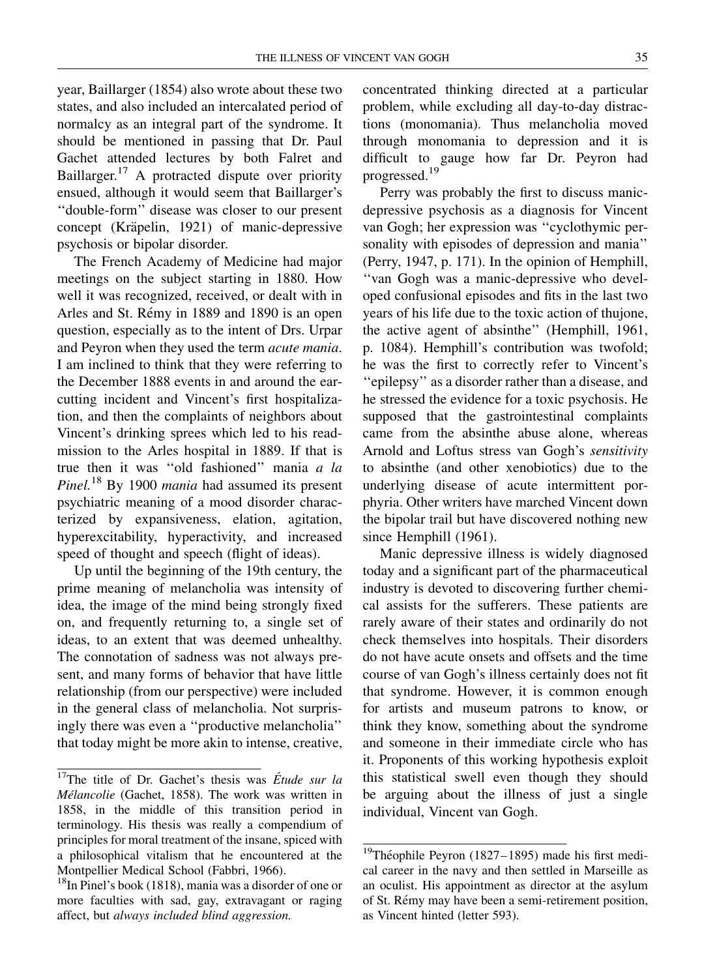year, Baillarger (1854) also wrote about these two states, and also included an intercalated period of normalcy as an integral part of the syndrome. It should be mentioned in passing that Dr. Paul Gachet attended lectures by both Falret and Baillarger.<sup>17</sup> A protracted dispute over priority ensued, although it would seem that Baillarger's ''double-form'' disease was closer to our present concept (Kräpelin, 1921) of manic-depressive psychosis or bipolar disorder.

The French Academy of Medicine had major meetings on the subject starting in 1880. How well it was recognized, received, or dealt with in Arles and St. Rémy in 1889 and 1890 is an open question, especially as to the intent of Drs. Urpar and Peyron when they used the term acute mania. I am inclined to think that they were referring to the December 1888 events in and around the earcutting incident and Vincent's first hospitalization, and then the complaints of neighbors about Vincent's drinking sprees which led to his readmission to the Arles hospital in 1889. If that is true then it was ''old fashioned'' mania a la *Pinel.*<sup>18</sup> By 1900 *mania* had assumed its present psychiatric meaning of a mood disorder characterized by expansiveness, elation, agitation, hyperexcitability, hyperactivity, and increased speed of thought and speech (flight of ideas).

Up until the beginning of the 19th century, the prime meaning of melancholia was intensity of idea, the image of the mind being strongly fixed on, and frequently returning to, a single set of ideas, to an extent that was deemed unhealthy. The connotation of sadness was not always present, and many forms of behavior that have little relationship (from our perspective) were included in the general class of melancholia. Not surprisingly there was even a ''productive melancholia'' that today might be more akin to intense, creative,

concentrated thinking directed at a particular problem, while excluding all day-to-day distractions (monomania). Thus melancholia moved through monomania to depression and it is difficult to gauge how far Dr. Peyron had progressed.<sup>19</sup>

Perry was probably the first to discuss manicdepressive psychosis as a diagnosis for Vincent van Gogh; her expression was ''cyclothymic personality with episodes of depression and mania'' (Perry, 1947, p. 171). In the opinion of Hemphill, ''van Gogh was a manic-depressive who developed confusional episodes and fits in the last two years of his life due to the toxic action of thujone, the active agent of absinthe'' (Hemphill, 1961, p. 1084). Hemphill's contribution was twofold; he was the first to correctly refer to Vincent's ''epilepsy'' as a disorder rather than a disease, and he stressed the evidence for a toxic psychosis. He supposed that the gastrointestinal complaints came from the absinthe abuse alone, whereas Arnold and Loftus stress van Gogh's sensitivity to absinthe (and other xenobiotics) due to the underlying disease of acute intermittent porphyria. Other writers have marched Vincent down the bipolar trail but have discovered nothing new since Hemphill (1961).

Manic depressive illness is widely diagnosed today and a significant part of the pharmaceutical industry is devoted to discovering further chemical assists for the sufferers. These patients are rarely aware of their states and ordinarily do not check themselves into hospitals. Their disorders do not have acute onsets and offsets and the time course of van Gogh's illness certainly does not fit that syndrome. However, it is common enough for artists and museum patrons to know, or think they know, something about the syndrome and someone in their immediate circle who has it. Proponents of this working hypothesis exploit this statistical swell even though they should be arguing about the illness of just a single individual, Vincent van Gogh.

<sup>&</sup>lt;sup>17</sup>The title of Dr. Gachet's thesis was  $Étude$  sur la Mélancolie (Gachet, 1858). The work was written in 1858, in the middle of this transition period in terminology. His thesis was really a compendium of principles for moral treatment of the insane, spiced with a philosophical vitalism that he encountered at the Montpellier Medical School (Fabbri, 1966).

<sup>&</sup>lt;sup>18</sup>In Pinel's book (1818), mania was a disorder of one or more faculties with sad, gay, extravagant or raging affect, but always included blind aggression.

 $19$ Théophile Peyron (1827–1895) made his first medical career in the navy and then settled in Marseille as an oculist. His appointment as director at the asylum of St. Rémy may have been a semi-retirement position, as Vincent hinted (letter 593).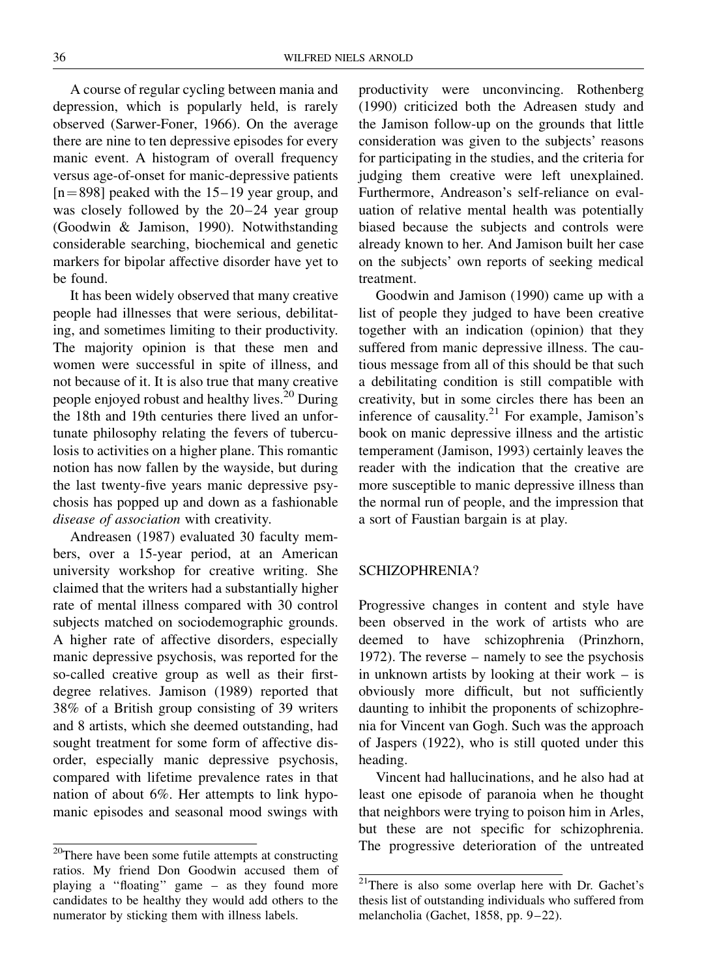A course of regular cycling between mania and depression, which is popularly held, is rarely observed (Sarwer-Foner, 1966). On the average there are nine to ten depressive episodes for every manic event. A histogram of overall frequency versus age-of-onset for manic-depressive patients  $[n=898]$  peaked with the 15–19 year group, and was closely followed by the 20–24 year group (Goodwin & Jamison, 1990). Notwithstanding considerable searching, biochemical and genetic markers for bipolar affective disorder have yet to be found.

It has been widely observed that many creative people had illnesses that were serious, debilitating, and sometimes limiting to their productivity. The majority opinion is that these men and women were successful in spite of illness, and not because of it. It is also true that many creative people enjoyed robust and healthy lives.<sup>20</sup> During the 18th and 19th centuries there lived an unfortunate philosophy relating the fevers of tuberculosis to activities on a higher plane. This romantic notion has now fallen by the wayside, but during the last twenty-five years manic depressive psychosis has popped up and down as a fashionable disease of association with creativity.

Andreasen (1987) evaluated 30 faculty members, over a 15-year period, at an American university workshop for creative writing. She claimed that the writers had a substantially higher rate of mental illness compared with 30 control subjects matched on sociodemographic grounds. A higher rate of affective disorders, especially manic depressive psychosis, was reported for the so-called creative group as well as their firstdegree relatives. Jamison (1989) reported that 38% of a British group consisting of 39 writers and 8 artists, which she deemed outstanding, had sought treatment for some form of affective disorder, especially manic depressive psychosis, compared with lifetime prevalence rates in that nation of about 6%. Her attempts to link hypomanic episodes and seasonal mood swings with

ratios. My friend Don Goodwin accused them of playing a ''floating'' game – as they found more candidates to be healthy they would add others to the numerator by sticking them with illness labels.

productivity were unconvincing. Rothenberg (1990) criticized both the Adreasen study and the Jamison follow-up on the grounds that little consideration was given to the subjects' reasons for participating in the studies, and the criteria for judging them creative were left unexplained. Furthermore, Andreason's self-reliance on evaluation of relative mental health was potentially biased because the subjects and controls were already known to her. And Jamison built her case on the subjects' own reports of seeking medical treatment.

Goodwin and Jamison (1990) came up with a list of people they judged to have been creative together with an indication (opinion) that they suffered from manic depressive illness. The cautious message from all of this should be that such a debilitating condition is still compatible with creativity, but in some circles there has been an inference of causality. $2<sup>1</sup>$  For example, Jamison's book on manic depressive illness and the artistic temperament (Jamison, 1993) certainly leaves the reader with the indication that the creative are more susceptible to manic depressive illness than the normal run of people, and the impression that a sort of Faustian bargain is at play.

#### SCHIZOPHRENIA?

Progressive changes in content and style have been observed in the work of artists who are deemed to have schizophrenia (Prinzhorn, 1972). The reverse – namely to see the psychosis in unknown artists by looking at their work – is obviously more difficult, but not sufficiently daunting to inhibit the proponents of schizophrenia for Vincent van Gogh. Such was the approach of Jaspers (1922), who is still quoted under this heading.

Vincent had hallucinations, and he also had at least one episode of paranoia when he thought that neighbors were trying to poison him in Arles, but these are not specific for schizophrenia.  $20$ The progressive deterioration of the untreated  $20$ There have been some futile attempts at constructing The progressive deterioration of the untreated

<sup>21</sup>There is also some overlap here with Dr. Gachet's thesis list of outstanding individuals who suffered from melancholia (Gachet, 1858, pp. 9–22).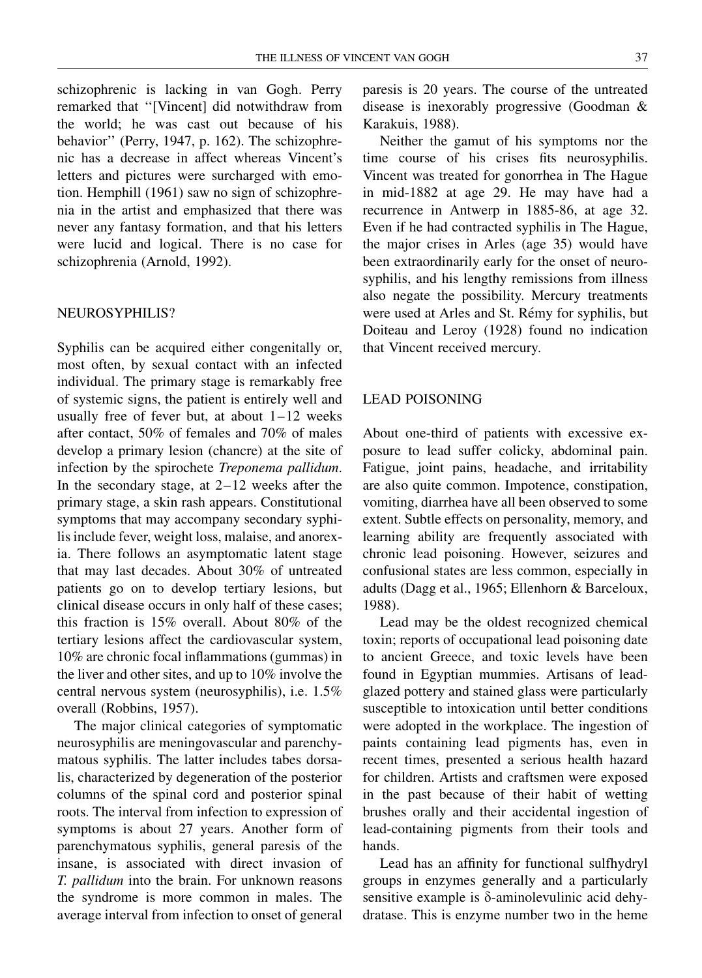schizophrenic is lacking in van Gogh. Perry remarked that ''[Vincent] did notwithdraw from the world; he was cast out because of his behavior'' (Perry, 1947, p. 162). The schizophrenic has a decrease in affect whereas Vincent's letters and pictures were surcharged with emotion. Hemphill (1961) saw no sign of schizophrenia in the artist and emphasized that there was never any fantasy formation, and that his letters were lucid and logical. There is no case for schizophrenia (Arnold, 1992).

#### NEUROSYPHILIS?

Syphilis can be acquired either congenitally or, most often, by sexual contact with an infected individual. The primary stage is remarkably free of systemic signs, the patient is entirely well and usually free of fever but, at about 1–12 weeks after contact, 50% of females and 70% of males develop a primary lesion (chancre) at the site of infection by the spirochete Treponema pallidum. In the secondary stage, at  $2-12$  weeks after the primary stage, a skin rash appears. Constitutional symptoms that may accompany secondary syphilis include fever, weight loss, malaise, and anorexia. There follows an asymptomatic latent stage that may last decades. About 30% of untreated patients go on to develop tertiary lesions, but clinical disease occurs in only half of these cases; this fraction is 15% overall. About 80% of the tertiary lesions affect the cardiovascular system, 10% are chronic focal inflammations (gummas) in the liver and other sites, and up to 10% involve the central nervous system (neurosyphilis), i.e. 1.5% overall (Robbins, 1957).

The major clinical categories of symptomatic neurosyphilis are meningovascular and parenchymatous syphilis. The latter includes tabes dorsalis, characterized by degeneration of the posterior columns of the spinal cord and posterior spinal roots. The interval from infection to expression of symptoms is about 27 years. Another form of parenchymatous syphilis, general paresis of the insane, is associated with direct invasion of T. pallidum into the brain. For unknown reasons the syndrome is more common in males. The average interval from infection to onset of general paresis is 20 years. The course of the untreated disease is inexorably progressive (Goodman & Karakuis, 1988).

Neither the gamut of his symptoms nor the time course of his crises fits neurosyphilis. Vincent was treated for gonorrhea in The Hague in mid-1882 at age 29. He may have had a recurrence in Antwerp in 1885-86, at age 32. Even if he had contracted syphilis in The Hague, the major crises in Arles (age 35) would have been extraordinarily early for the onset of neurosyphilis, and his lengthy remissions from illness also negate the possibility. Mercury treatments were used at Arles and St. Rémy for syphilis, but Doiteau and Leroy (1928) found no indication that Vincent received mercury.

#### LEAD POISONING

About one-third of patients with excessive exposure to lead suffer colicky, abdominal pain. Fatigue, joint pains, headache, and irritability are also quite common. Impotence, constipation, vomiting, diarrhea have all been observed to some extent. Subtle effects on personality, memory, and learning ability are frequently associated with chronic lead poisoning. However, seizures and confusional states are less common, especially in adults (Dagg et al., 1965; Ellenhorn & Barceloux, 1988).

Lead may be the oldest recognized chemical toxin; reports of occupational lead poisoning date to ancient Greece, and toxic levels have been found in Egyptian mummies. Artisans of leadglazed pottery and stained glass were particularly susceptible to intoxication until better conditions were adopted in the workplace. The ingestion of paints containing lead pigments has, even in recent times, presented a serious health hazard for children. Artists and craftsmen were exposed in the past because of their habit of wetting brushes orally and their accidental ingestion of lead-containing pigments from their tools and hands.

Lead has an affinity for functional sulfhydryl groups in enzymes generally and a particularly sensitive example is  $\delta$ -aminolevulinic acid dehydratase. This is enzyme number two in the heme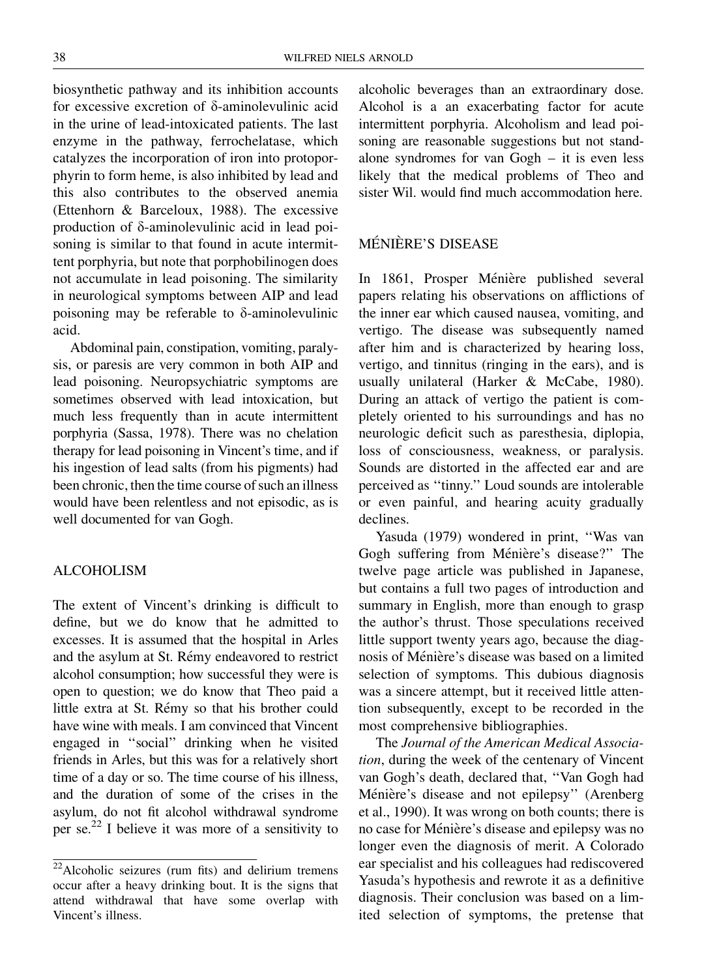biosynthetic pathway and its inhibition accounts for excessive excretion of  $\delta$ -aminolevulinic acid in the urine of lead-intoxicated patients. The last enzyme in the pathway, ferrochelatase, which catalyzes the incorporation of iron into protoporphyrin to form heme, is also inhibited by lead and this also contributes to the observed anemia (Ettenhorn & Barceloux, 1988). The excessive production of  $\delta$ -aminolevulinic acid in lead poisoning is similar to that found in acute intermittent porphyria, but note that porphobilinogen does not accumulate in lead poisoning. The similarity in neurological symptoms between AIP and lead poisoning may be referable to  $\delta$ -aminolevulinic acid.

Abdominal pain, constipation, vomiting, paralysis, or paresis are very common in both AIP and lead poisoning. Neuropsychiatric symptoms are sometimes observed with lead intoxication, but much less frequently than in acute intermittent porphyria (Sassa, 1978). There was no chelation therapy for lead poisoning in Vincent's time, and if his ingestion of lead salts (from his pigments) had been chronic, then the time course of such an illness would have been relentless and not episodic, as is well documented for van Gogh.

#### ALCOHOLISM

The extent of Vincent's drinking is difficult to define, but we do know that he admitted to excesses. It is assumed that the hospital in Arles and the asylum at St. Rémy endeavored to restrict alcohol consumption; how successful they were is open to question; we do know that Theo paid a little extra at St. Rémy so that his brother could have wine with meals. I am convinced that Vincent engaged in ''social'' drinking when he visited friends in Arles, but this was for a relatively short time of a day or so. The time course of his illness, and the duration of some of the crises in the asylum, do not fit alcohol withdrawal syndrome per se.22 I believe it was more of a sensitivity to alcoholic beverages than an extraordinary dose. Alcohol is a an exacerbating factor for acute intermittent porphyria. Alcoholism and lead poisoning are reasonable suggestions but not standalone syndromes for van Gogh – it is even less likely that the medical problems of Theo and sister Wil. would find much accommodation here.

# MÉNIÈRE'S DISEASE

In 1861, Prosper Ménière published several papers relating his observations on afflictions of the inner ear which caused nausea, vomiting, and vertigo. The disease was subsequently named after him and is characterized by hearing loss, vertigo, and tinnitus (ringing in the ears), and is usually unilateral (Harker & McCabe, 1980). During an attack of vertigo the patient is completely oriented to his surroundings and has no neurologic deficit such as paresthesia, diplopia, loss of consciousness, weakness, or paralysis. Sounds are distorted in the affected ear and are perceived as ''tinny.'' Loud sounds are intolerable or even painful, and hearing acuity gradually declines.

Yasuda (1979) wondered in print, ''Was van Gogh suffering from Ménière's disease?" The twelve page article was published in Japanese, but contains a full two pages of introduction and summary in English, more than enough to grasp the author's thrust. Those speculations received little support twenty years ago, because the diagnosis of Ménière's disease was based on a limited selection of symptoms. This dubious diagnosis was a sincere attempt, but it received little attention subsequently, except to be recorded in the most comprehensive bibliographies.

The Journal of the American Medical Association, during the week of the centenary of Vincent van Gogh's death, declared that, ''Van Gogh had Ménière's disease and not epilepsy" (Arenberg et al., 1990). It was wrong on both counts; there is no case for Ménière's disease and epilepsy was no longer even the diagnosis of merit. A Colorado ear specialist and his colleagues had rediscovered Yasuda's hypothesis and rewrote it as a definitive diagnosis. Their conclusion was based on a limited selection of symptoms, the pretense that

 $22$ Alcoholic seizures (rum fits) and delirium tremens occur after a heavy drinking bout. It is the signs that attend withdrawal that have some overlap with Vincent's illness.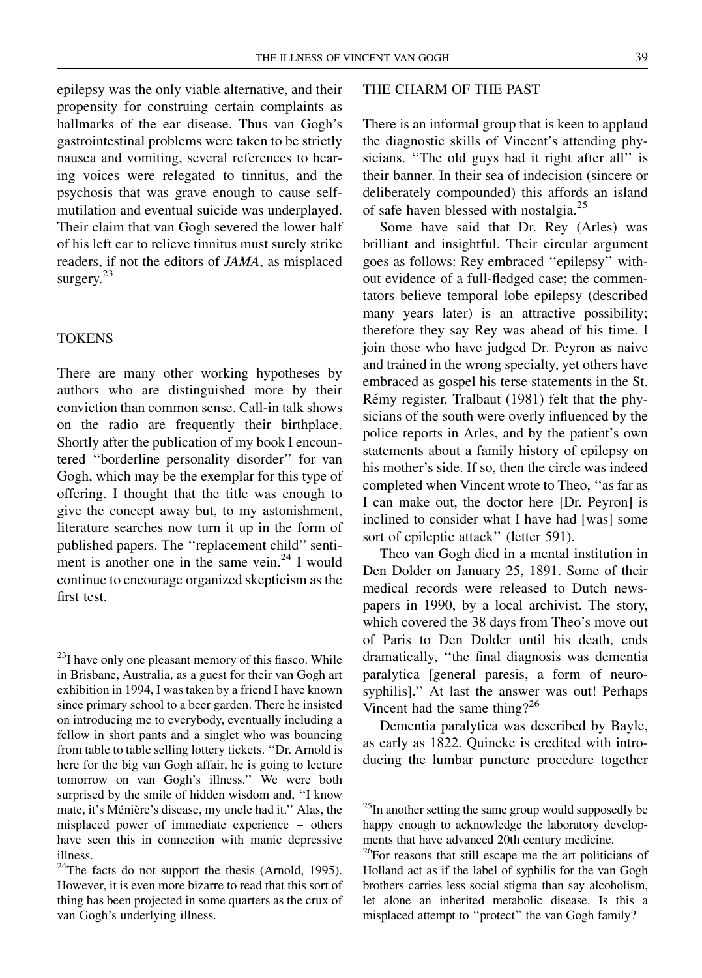THE CHARM OF THE PAST

epilepsy was the only viable alternative, and their propensity for construing certain complaints as hallmarks of the ear disease. Thus van Gogh's gastrointestinal problems were taken to be strictly nausea and vomiting, several references to hearing voices were relegated to tinnitus, and the psychosis that was grave enough to cause selfmutilation and eventual suicide was underplayed. Their claim that van Gogh severed the lower half of his left ear to relieve tinnitus must surely strike readers, if not the editors of JAMA, as misplaced surgery.<sup>23</sup>

#### **TOKENS**

There are many other working hypotheses by authors who are distinguished more by their conviction than common sense. Call-in talk shows on the radio are frequently their birthplace. Shortly after the publication of my book I encountered ''borderline personality disorder'' for van Gogh, which may be the exemplar for this type of offering. I thought that the title was enough to give the concept away but, to my astonishment, literature searches now turn it up in the form of published papers. The ''replacement child'' sentiment is another one in the same vein. $^{24}$  I would continue to encourage organized skepticism as the first test.

There is an informal group that is keen to applaud the diagnostic skills of Vincent's attending physicians. ''The old guys had it right after all'' is their banner. In their sea of indecision (sincere or deliberately compounded) this affords an island of safe haven blessed with nostalgia.<sup>25</sup>

Some have said that Dr. Rey (Arles) was brilliant and insightful. Their circular argument goes as follows: Rey embraced ''epilepsy'' without evidence of a full-fledged case; the commentators believe temporal lobe epilepsy (described many years later) is an attractive possibility; therefore they say Rey was ahead of his time. I join those who have judged Dr. Peyron as naive and trained in the wrong specialty, yet others have embraced as gospel his terse statements in the St. Rémy register. Tralbaut (1981) felt that the physicians of the south were overly influenced by the police reports in Arles, and by the patient's own statements about a family history of epilepsy on his mother's side. If so, then the circle was indeed completed when Vincent wrote to Theo, ''as far as I can make out, the doctor here [Dr. Peyron] is inclined to consider what I have had [was] some sort of epileptic attack'' (letter 591).

Theo van Gogh died in a mental institution in Den Dolder on January 25, 1891. Some of their medical records were released to Dutch newspapers in 1990, by a local archivist. The story, which covered the 38 days from Theo's move out of Paris to Den Dolder until his death, ends dramatically, ''the final diagnosis was dementia paralytica [general paresis, a form of neurosyphilis].'' At last the answer was out! Perhaps Vincent had the same thing? $2^{26}$ 

Dementia paralytica was described by Bayle, as early as 1822. Quincke is credited with introducing the lumbar puncture procedure together

<sup>23</sup>I have only one pleasant memory of this fiasco. While in Brisbane, Australia, as a guest for their van Gogh art exhibition in 1994, I was taken by a friend I have known since primary school to a beer garden. There he insisted on introducing me to everybody, eventually including a fellow in short pants and a singlet who was bouncing from table to table selling lottery tickets. ''Dr. Arnold is here for the big van Gogh affair, he is going to lecture tomorrow on van Gogh's illness.'' We were both surprised by the smile of hidden wisdom and, ''I know mate, it's Ménière's disease, my uncle had it." Alas, the misplaced power of immediate experience – others have seen this in connection with manic depressive illness.

 $24$ The facts do not support the thesis (Arnold, 1995). However, it is even more bizarre to read that this sort of thing has been projected in some quarters as the crux of van Gogh's underlying illness.

<sup>25</sup>In another setting the same group would supposedly be happy enough to acknowledge the laboratory developments that have advanced 20th century medicine.

 $26$ For reasons that still escape me the art politicians of Holland act as if the label of syphilis for the van Gogh brothers carries less social stigma than say alcoholism, let alone an inherited metabolic disease. Is this a misplaced attempt to ''protect'' the van Gogh family?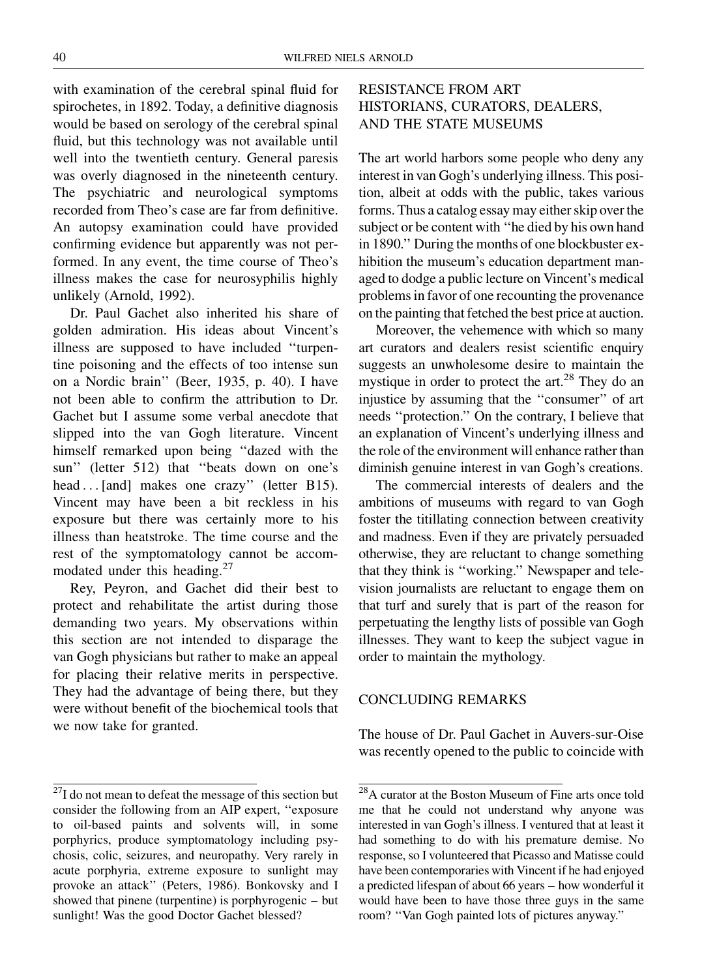with examination of the cerebral spinal fluid for spirochetes, in 1892. Today, a definitive diagnosis would be based on serology of the cerebral spinal fluid, but this technology was not available until well into the twentieth century. General paresis was overly diagnosed in the nineteenth century. The psychiatric and neurological symptoms recorded from Theo's case are far from definitive. An autopsy examination could have provided confirming evidence but apparently was not performed. In any event, the time course of Theo's illness makes the case for neurosyphilis highly unlikely (Arnold, 1992).

Dr. Paul Gachet also inherited his share of golden admiration. His ideas about Vincent's illness are supposed to have included ''turpentine poisoning and the effects of too intense sun on a Nordic brain'' (Beer, 1935, p. 40). I have not been able to confirm the attribution to Dr. Gachet but I assume some verbal anecdote that slipped into the van Gogh literature. Vincent himself remarked upon being ''dazed with the sun" (letter 512) that "beats down on one's head ... [and] makes one crazy" (letter B15). Vincent may have been a bit reckless in his exposure but there was certainly more to his illness than heatstroke. The time course and the rest of the symptomatology cannot be accommodated under this heading.<sup>27</sup>

Rey, Peyron, and Gachet did their best to protect and rehabilitate the artist during those demanding two years. My observations within this section are not intended to disparage the van Gogh physicians but rather to make an appeal for placing their relative merits in perspective. They had the advantage of being there, but they were without benefit of the biochemical tools that we now take for granted.

# RESISTANCE FROM ART HISTORIANS, CURATORS, DEALERS, AND THE STATE MUSEUMS

The art world harbors some people who deny any interest in van Gogh's underlying illness. This position, albeit at odds with the public, takes various forms. Thus a catalog essay may either skip over the subject or be content with ''he died by his own hand in 1890.'' During the months of one blockbuster exhibition the museum's education department managed to dodge a public lecture on Vincent's medical problems in favor of one recounting the provenance on the painting that fetched the best price at auction.

Moreover, the vehemence with which so many art curators and dealers resist scientific enquiry suggests an unwholesome desire to maintain the mystique in order to protect the  $art.^{28}$ . They do an injustice by assuming that the ''consumer'' of art needs ''protection.'' On the contrary, I believe that an explanation of Vincent's underlying illness and the role of the environment will enhance rather than diminish genuine interest in van Gogh's creations.

The commercial interests of dealers and the ambitions of museums with regard to van Gogh foster the titillating connection between creativity and madness. Even if they are privately persuaded otherwise, they are reluctant to change something that they think is ''working.'' Newspaper and television journalists are reluctant to engage them on that turf and surely that is part of the reason for perpetuating the lengthy lists of possible van Gogh illnesses. They want to keep the subject vague in order to maintain the mythology.

#### CONCLUDING REMARKS

The house of Dr. Paul Gachet in Auvers-sur-Oise was recently opened to the public to coincide with

 $27$ I do not mean to defeat the message of this section but consider the following from an AIP expert, ''exposure to oil-based paints and solvents will, in some porphyrics, produce symptomatology including psychosis, colic, seizures, and neuropathy. Very rarely in acute porphyria, extreme exposure to sunlight may provoke an attack'' (Peters, 1986). Bonkovsky and I showed that pinene (turpentine) is porphyrogenic – but sunlight! Was the good Doctor Gachet blessed?

<sup>28</sup>A curator at the Boston Museum of Fine arts once told me that he could not understand why anyone was interested in van Gogh's illness. I ventured that at least it had something to do with his premature demise. No response, so I volunteered that Picasso and Matisse could have been contemporaries with Vincent if he had enjoyed a predicted lifespan of about 66 years – how wonderful it would have been to have those three guys in the same room? ''Van Gogh painted lots of pictures anyway.''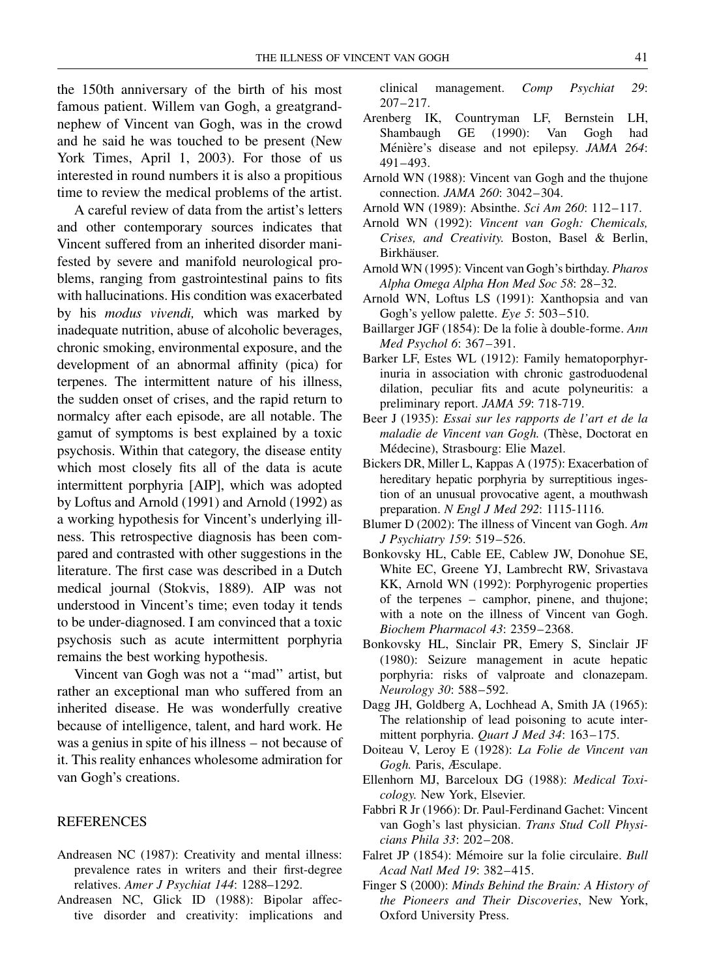the 150th anniversary of the birth of his most famous patient. Willem van Gogh, a greatgrandnephew of Vincent van Gogh, was in the crowd and he said he was touched to be present (New York Times, April 1, 2003). For those of us interested in round numbers it is also a propitious time to review the medical problems of the artist.

A careful review of data from the artist's letters and other contemporary sources indicates that Vincent suffered from an inherited disorder manifested by severe and manifold neurological problems, ranging from gastrointestinal pains to fits with hallucinations. His condition was exacerbated by his modus vivendi, which was marked by inadequate nutrition, abuse of alcoholic beverages, chronic smoking, environmental exposure, and the development of an abnormal affinity (pica) for terpenes. The intermittent nature of his illness, the sudden onset of crises, and the rapid return to normalcy after each episode, are all notable. The gamut of symptoms is best explained by a toxic psychosis. Within that category, the disease entity which most closely fits all of the data is acute intermittent porphyria [AIP], which was adopted by Loftus and Arnold (1991) and Arnold (1992) as a working hypothesis for Vincent's underlying illness. This retrospective diagnosis has been compared and contrasted with other suggestions in the literature. The first case was described in a Dutch medical journal (Stokvis, 1889). AIP was not understood in Vincent's time; even today it tends to be under-diagnosed. I am convinced that a toxic psychosis such as acute intermittent porphyria remains the best working hypothesis.

Vincent van Gogh was not a ''mad'' artist, but rather an exceptional man who suffered from an inherited disease. He was wonderfully creative because of intelligence, talent, and hard work. He was a genius in spite of his illness – not because of it. This reality enhances wholesome admiration for van Gogh's creations.

#### **REFERENCES**

- Andreasen NC (1987): Creativity and mental illness: prevalence rates in writers and their first-degree relatives. Amer J Psychiat 144: 1288–1292.
- Andreasen NC, Glick ID (1988): Bipolar affective disorder and creativity: implications and

clinical management. Comp Psychiat 29: 207–217.

- Arenberg IK, Countryman LF, Bernstein LH, Shambaugh GE (1990): Van Gogh had Ménière's disease and not epilepsy. JAMA 264: 491–493.
- Arnold WN (1988): Vincent van Gogh and the thujone connection. JAMA 260: 3042–304.
- Arnold WN (1989): Absinthe. Sci Am 260: 112–117.
- Arnold WN (1992): Vincent van Gogh: Chemicals, Crises, and Creativity. Boston, Basel & Berlin, Birkhäuser.
- Arnold WN (1995): Vincent van Gogh's birthday. Pharos Alpha Omega Alpha Hon Med Soc 58: 28–32.
- Arnold WN, Loftus LS (1991): Xanthopsia and van Gogh's yellow palette. Eye 5: 503-510.
- Baillarger JGF (1854): De la folie à double-forme. Ann Med Psychol 6: 367–391.
- Barker LF, Estes WL (1912): Family hematoporphyrinuria in association with chronic gastroduodenal dilation, peculiar fits and acute polyneuritis: a preliminary report. JAMA 59: 718-719.
- Beer J (1935): Essai sur les rapports de l'art et de la maladie de Vincent van Gogh. (Thèse, Doctorat en Médecine), Strasbourg: Elie Mazel.
- Bickers DR, Miller L, Kappas A (1975): Exacerbation of hereditary hepatic porphyria by surreptitious ingestion of an unusual provocative agent, a mouthwash preparation. N Engl J Med 292: 1115-1116.
- Blumer D (2002): The illness of Vincent van Gogh. Am J Psychiatry 159: 519–526.
- Bonkovsky HL, Cable EE, Cablew JW, Donohue SE, White EC, Greene YJ, Lambrecht RW, Srivastava KK, Arnold WN (1992): Porphyrogenic properties of the terpenes – camphor, pinene, and thujone; with a note on the illness of Vincent van Gogh. Biochem Pharmacol 43: 2359–2368.
- Bonkovsky HL, Sinclair PR, Emery S, Sinclair JF (1980): Seizure management in acute hepatic porphyria: risks of valproate and clonazepam. Neurology 30: 588–592.
- Dagg JH, Goldberg A, Lochhead A, Smith JA (1965): The relationship of lead poisoning to acute intermittent porphyria. Quart J Med 34: 163-175.
- Doiteau V, Leroy E (1928): La Folie de Vincent van Gogh. Paris, Æsculape.
- Ellenhorn MJ, Barceloux DG (1988): Medical Toxicology. New York, Elsevier.
- Fabbri R Jr (1966): Dr. Paul-Ferdinand Gachet: Vincent van Gogh's last physician. Trans Stud Coll Physicians Phila 33: 202–208.
- Falret JP (1854): Mémoire sur la folie circulaire. Bull Acad Natl Med 19: 382–415.
- Finger S (2000): Minds Behind the Brain: A History of the Pioneers and Their Discoveries, New York, Oxford University Press.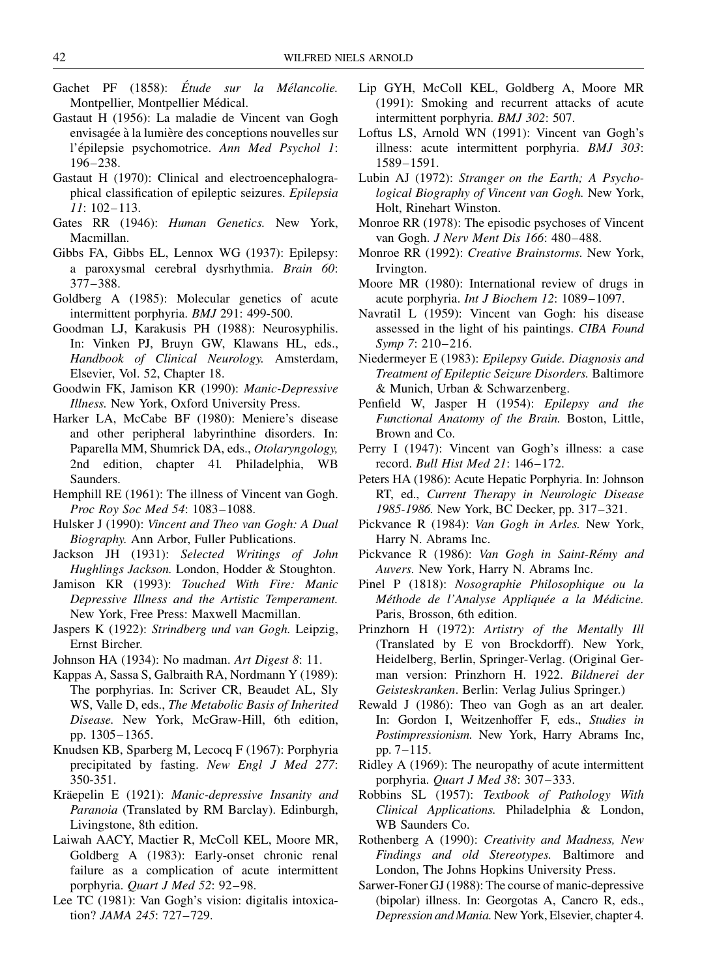- Gachet PF (1858): Étude sur la Mélancolie. Montpellier, Montpellier Médical.
- Gastaut H (1956): La maladie de Vincent van Gogh envisagée à la lumière des conceptions nouvelles sur l'épilepsie psychomotrice. Ann Med Psychol 1: 196–238.
- Gastaut H (1970): Clinical and electroencephalographical classification of epileptic seizures. Epilepsia 11: 102–113.
- Gates RR (1946): Human Genetics. New York, Macmillan.
- Gibbs FA, Gibbs EL, Lennox WG (1937): Epilepsy: a paroxysmal cerebral dysrhythmia. Brain 60: 377–388.
- Goldberg A (1985): Molecular genetics of acute intermittent porphyria. BMJ 291: 499-500.
- Goodman LJ, Karakusis PH (1988): Neurosyphilis. In: Vinken PJ, Bruyn GW, Klawans HL, eds., Handbook of Clinical Neurology. Amsterdam, Elsevier, Vol. 52, Chapter 18.
- Goodwin FK, Jamison KR (1990): Manic-Depressive Illness. New York, Oxford University Press.
- Harker LA, McCabe BF (1980): Meniere's disease and other peripheral labyrinthine disorders. In: Paparella MM, Shumrick DA, eds., Otolaryngology, 2nd edition, chapter 41. Philadelphia, WB Saunders.
- Hemphill RE (1961): The illness of Vincent van Gogh. Proc Roy Soc Med 54: 1083–1088.
- Hulsker J (1990): Vincent and Theo van Gogh: A Dual Biography. Ann Arbor, Fuller Publications.
- Jackson JH (1931): Selected Writings of John Hughlings Jackson. London, Hodder & Stoughton.
- Jamison KR (1993): Touched With Fire: Manic Depressive Illness and the Artistic Temperament. New York, Free Press: Maxwell Macmillan.
- Jaspers K (1922): Strindberg und van Gogh. Leipzig, Ernst Bircher.
- Johnson HA (1934): No madman. Art Digest 8: 11.
- Kappas A, Sassa S, Galbraith RA, Nordmann Y (1989): The porphyrias. In: Scriver CR, Beaudet AL, Sly WS, Valle D, eds., The Metabolic Basis of Inherited Disease. New York, McGraw-Hill, 6th edition, pp. 1305–1365.
- Knudsen KB, Sparberg M, Lecocq F (1967): Porphyria precipitated by fasting. New Engl J Med 277: 350-351.
- Kräepelin E (1921): Manic-depressive Insanity and Paranoia (Translated by RM Barclay). Edinburgh, Livingstone, 8th edition.
- Laiwah AACY, Mactier R, McColl KEL, Moore MR, Goldberg A (1983): Early-onset chronic renal failure as a complication of acute intermittent porphyria. Quart J Med 52: 92–98.
- Lee TC (1981): Van Gogh's vision: digitalis intoxication? JAMA 245: 727–729.
- Lip GYH, McColl KEL, Goldberg A, Moore MR (1991): Smoking and recurrent attacks of acute intermittent porphyria. BMJ 302: 507.
- Loftus LS, Arnold WN (1991): Vincent van Gogh's illness: acute intermittent porphyria. BMJ 303: 1589–1591.
- Lubin AJ (1972): Stranger on the Earth; A Psychological Biography of Vincent van Gogh. New York, Holt, Rinehart Winston.
- Monroe RR (1978): The episodic psychoses of Vincent van Gogh. J Nerv Ment Dis 166: 480–488.
- Monroe RR (1992): Creative Brainstorms. New York, Irvington.
- Moore MR (1980): International review of drugs in acute porphyria. Int J Biochem 12: 1089-1097.
- Navratil L (1959): Vincent van Gogh: his disease assessed in the light of his paintings. CIBA Found Symp 7: 210–216.
- Niedermeyer E (1983): Epilepsy Guide. Diagnosis and Treatment of Epileptic Seizure Disorders. Baltimore & Munich, Urban & Schwarzenberg.
- Penfield W, Jasper H (1954): Epilepsy and the Functional Anatomy of the Brain. Boston, Little, Brown and Co.
- Perry I (1947): Vincent van Gogh's illness: a case record. Bull Hist Med 21: 146–172.
- Peters HA (1986): Acute Hepatic Porphyria. In: Johnson RT, ed., Current Therapy in Neurologic Disease 1985-1986. New York, BC Decker, pp. 317–321.
- Pickvance R (1984): Van Gogh in Arles. New York, Harry N. Abrams Inc.
- Pickvance R (1986): Van Gogh in Saint-Rémy and Auvers. New York, Harry N. Abrams Inc.
- Pinel P (1818): Nosographie Philosophique ou la Méthode de l'Analyse Appliquée a la Médicine. Paris, Brosson, 6th edition.
- Prinzhorn H (1972): Artistry of the Mentally Ill (Translated by E von Brockdorff). New York, Heidelberg, Berlin, Springer-Verlag. (Original German version: Prinzhorn H. 1922. Bildnerei der Geisteskranken. Berlin: Verlag Julius Springer.)
- Rewald J (1986): Theo van Gogh as an art dealer. In: Gordon I, Weitzenhoffer F, eds., Studies in Postimpressionism. New York, Harry Abrams Inc, pp. 7–115.
- Ridley A (1969): The neuropathy of acute intermittent porphyria. Quart J Med 38: 307–333.
- Robbins SL (1957): Textbook of Pathology With Clinical Applications. Philadelphia & London, WB Saunders Co.
- Rothenberg A (1990): Creativity and Madness, New Findings and old Stereotypes. Baltimore and London, The Johns Hopkins University Press.
- Sarwer-Foner GJ (1988): The course of manic-depressive (bipolar) illness. In: Georgotas A, Cancro R, eds., Depression and Mania. New York, Elsevier, chapter 4.